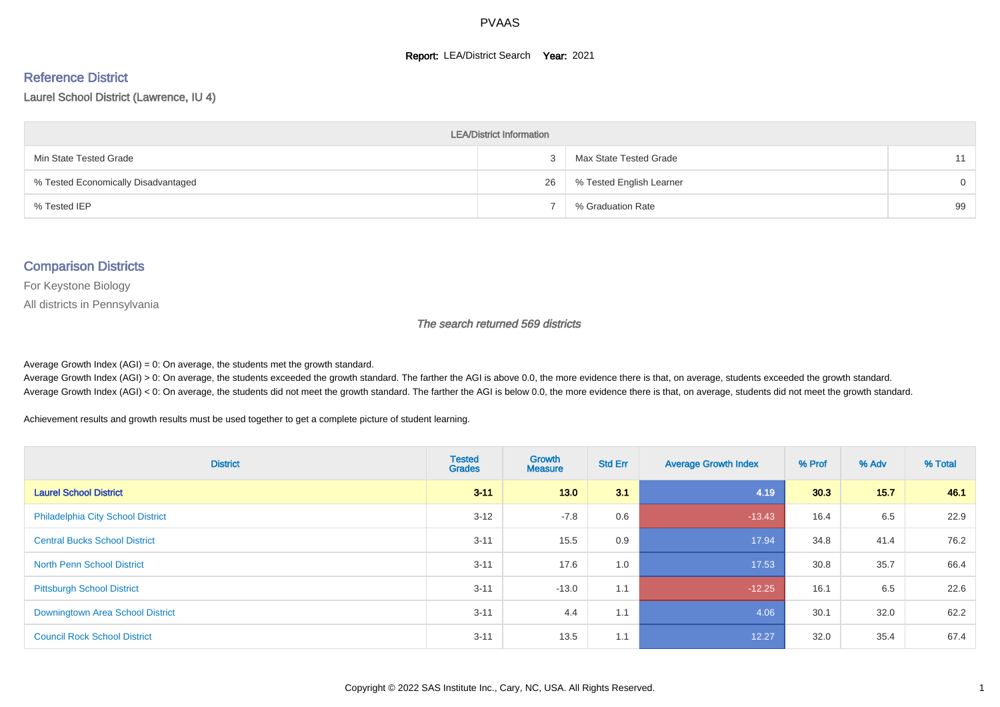#### **Report: LEA/District Search Year: 2021**

# Reference District

#### Laurel School District (Lawrence, IU 4)

| <b>LEA/District Information</b>     |    |                          |          |  |  |  |  |  |  |  |
|-------------------------------------|----|--------------------------|----------|--|--|--|--|--|--|--|
| Min State Tested Grade              |    | Max State Tested Grade   | 11       |  |  |  |  |  |  |  |
| % Tested Economically Disadvantaged | 26 | % Tested English Learner | $\Omega$ |  |  |  |  |  |  |  |
| % Tested IEP                        |    | % Graduation Rate        | 99       |  |  |  |  |  |  |  |

#### Comparison Districts

For Keystone Biology

All districts in Pennsylvania

The search returned 569 districts

Average Growth Index  $(AGI) = 0$ : On average, the students met the growth standard.

Average Growth Index (AGI) > 0: On average, the students exceeded the growth standard. The farther the AGI is above 0.0, the more evidence there is that, on average, students exceeded the growth standard. Average Growth Index (AGI) < 0: On average, the students did not meet the growth standard. The farther the AGI is below 0.0, the more evidence there is that, on average, students did not meet the growth standard.

Achievement results and growth results must be used together to get a complete picture of student learning.

| <b>District</b>                          | <b>Tested</b><br><b>Grades</b> | Growth<br><b>Measure</b> | <b>Std Err</b> | <b>Average Growth Index</b> | % Prof | % Adv | % Total |
|------------------------------------------|--------------------------------|--------------------------|----------------|-----------------------------|--------|-------|---------|
| <b>Laurel School District</b>            | $3 - 11$                       | 13.0                     | 3.1            | 4.19                        | 30.3   | 15.7  | 46.1    |
| <b>Philadelphia City School District</b> | $3 - 12$                       | $-7.8$                   | 0.6            | $-13.43$                    | 16.4   | 6.5   | 22.9    |
| <b>Central Bucks School District</b>     | $3 - 11$                       | 15.5                     | 0.9            | 17.94                       | 34.8   | 41.4  | 76.2    |
| <b>North Penn School District</b>        | $3 - 11$                       | 17.6                     | 1.0            | 17.53                       | 30.8   | 35.7  | 66.4    |
| <b>Pittsburgh School District</b>        | $3 - 11$                       | $-13.0$                  | 1.1            | $-12.25$                    | 16.1   | 6.5   | 22.6    |
| Downingtown Area School District         | $3 - 11$                       | 4.4                      | 1.1            | 4.06                        | 30.1   | 32.0  | 62.2    |
| <b>Council Rock School District</b>      | $3 - 11$                       | 13.5                     | 1.1            | 12.27                       | 32.0   | 35.4  | 67.4    |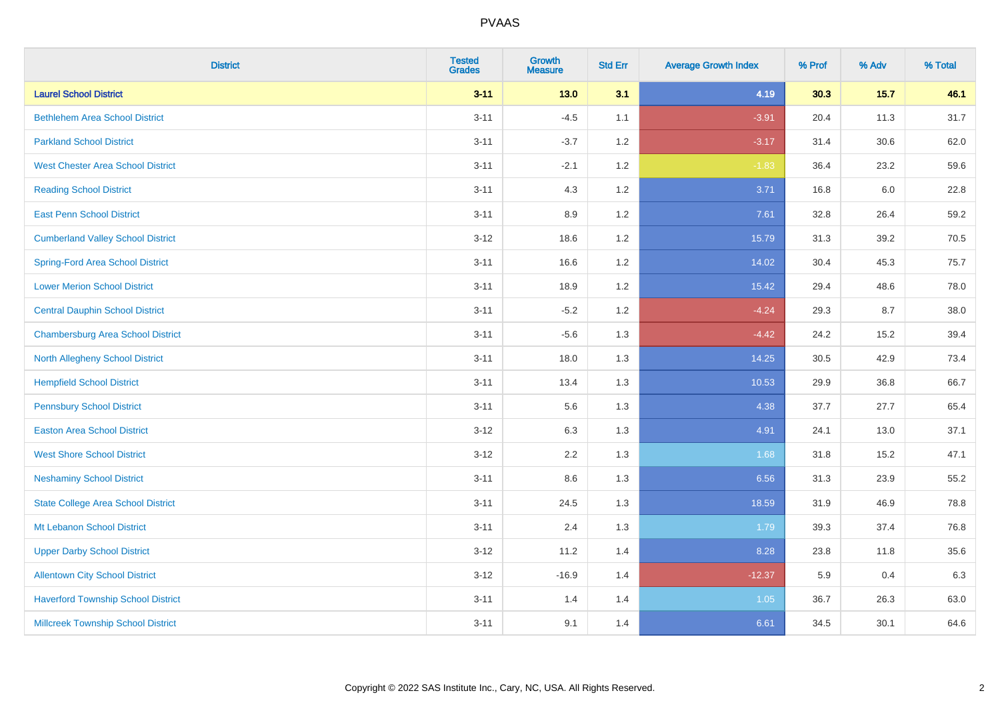| <b>District</b>                           | <b>Tested</b><br><b>Grades</b> | <b>Growth</b><br><b>Measure</b> | <b>Std Err</b> | <b>Average Growth Index</b> | % Prof | % Adv  | % Total |
|-------------------------------------------|--------------------------------|---------------------------------|----------------|-----------------------------|--------|--------|---------|
| <b>Laurel School District</b>             | $3 - 11$                       | $13.0$                          | 3.1            | 4.19                        | 30.3   | $15.7$ | 46.1    |
| <b>Bethlehem Area School District</b>     | $3 - 11$                       | $-4.5$                          | 1.1            | $-3.91$                     | 20.4   | 11.3   | 31.7    |
| <b>Parkland School District</b>           | $3 - 11$                       | $-3.7$                          | 1.2            | $-3.17$                     | 31.4   | 30.6   | 62.0    |
| <b>West Chester Area School District</b>  | $3 - 11$                       | $-2.1$                          | $1.2\,$        | $-1.83$                     | 36.4   | 23.2   | 59.6    |
| <b>Reading School District</b>            | $3 - 11$                       | 4.3                             | 1.2            | 3.71                        | 16.8   | 6.0    | 22.8    |
| <b>East Penn School District</b>          | $3 - 11$                       | 8.9                             | 1.2            | 7.61                        | 32.8   | 26.4   | 59.2    |
| <b>Cumberland Valley School District</b>  | $3 - 12$                       | 18.6                            | 1.2            | 15.79                       | 31.3   | 39.2   | 70.5    |
| <b>Spring-Ford Area School District</b>   | $3 - 11$                       | 16.6                            | 1.2            | 14.02                       | 30.4   | 45.3   | 75.7    |
| <b>Lower Merion School District</b>       | $3 - 11$                       | 18.9                            | 1.2            | 15.42                       | 29.4   | 48.6   | 78.0    |
| <b>Central Dauphin School District</b>    | $3 - 11$                       | $-5.2$                          | 1.2            | $-4.24$                     | 29.3   | 8.7    | 38.0    |
| <b>Chambersburg Area School District</b>  | $3 - 11$                       | $-5.6$                          | 1.3            | $-4.42$                     | 24.2   | 15.2   | 39.4    |
| <b>North Allegheny School District</b>    | $3 - 11$                       | 18.0                            | 1.3            | 14.25                       | 30.5   | 42.9   | 73.4    |
| <b>Hempfield School District</b>          | $3 - 11$                       | 13.4                            | 1.3            | 10.53                       | 29.9   | 36.8   | 66.7    |
| <b>Pennsbury School District</b>          | $3 - 11$                       | 5.6                             | 1.3            | 4.38                        | 37.7   | 27.7   | 65.4    |
| <b>Easton Area School District</b>        | $3 - 12$                       | 6.3                             | 1.3            | 4.91                        | 24.1   | 13.0   | 37.1    |
| <b>West Shore School District</b>         | $3 - 12$                       | 2.2                             | 1.3            | 1.68                        | 31.8   | 15.2   | 47.1    |
| <b>Neshaminy School District</b>          | $3 - 11$                       | $8.6\,$                         | 1.3            | 6.56                        | 31.3   | 23.9   | 55.2    |
| <b>State College Area School District</b> | $3 - 11$                       | 24.5                            | 1.3            | 18.59                       | 31.9   | 46.9   | 78.8    |
| Mt Lebanon School District                | $3 - 11$                       | 2.4                             | 1.3            | 1.79                        | 39.3   | 37.4   | 76.8    |
| <b>Upper Darby School District</b>        | $3 - 12$                       | 11.2                            | 1.4            | 8.28                        | 23.8   | 11.8   | 35.6    |
| <b>Allentown City School District</b>     | $3-12$                         | $-16.9$                         | 1.4            | $-12.37$                    | 5.9    | 0.4    | 6.3     |
| <b>Haverford Township School District</b> | $3 - 11$                       | 1.4                             | 1.4            | 1.05                        | 36.7   | 26.3   | 63.0    |
| <b>Millcreek Township School District</b> | $3 - 11$                       | 9.1                             | 1.4            | 6.61                        | 34.5   | 30.1   | 64.6    |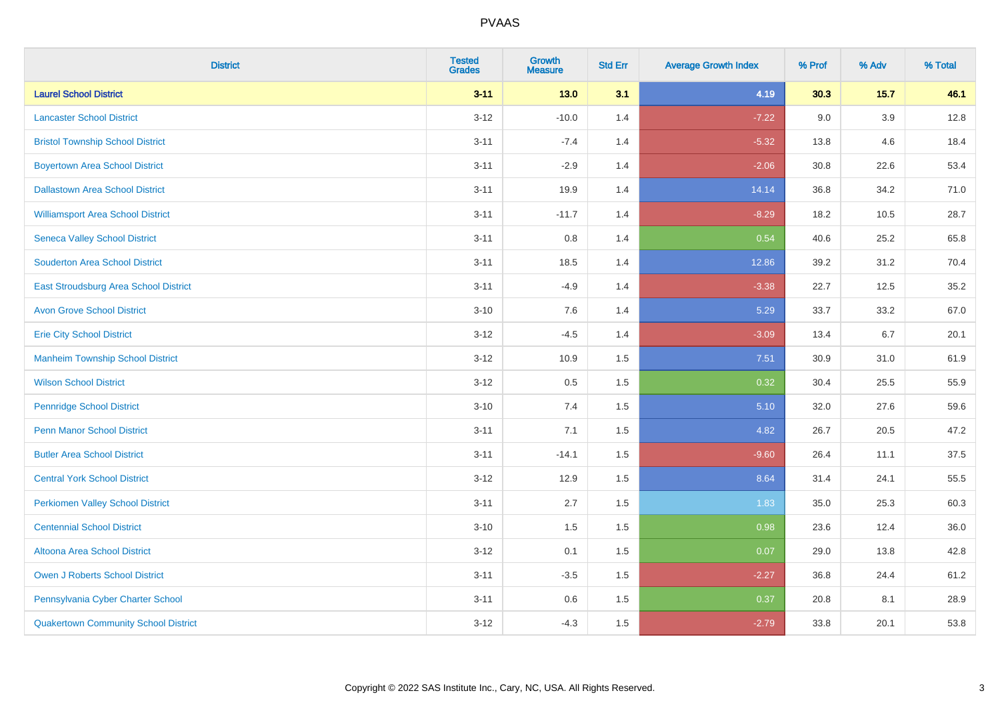| <b>District</b>                              | <b>Tested</b><br><b>Grades</b> | <b>Growth</b><br><b>Measure</b> | <b>Std Err</b> | <b>Average Growth Index</b> | % Prof | % Adv  | % Total |
|----------------------------------------------|--------------------------------|---------------------------------|----------------|-----------------------------|--------|--------|---------|
| <b>Laurel School District</b>                | $3 - 11$                       | $13.0$                          | 3.1            | 4.19                        | 30.3   | $15.7$ | 46.1    |
| <b>Lancaster School District</b>             | $3 - 12$                       | $-10.0$                         | 1.4            | $-7.22$                     | 9.0    | 3.9    | 12.8    |
| <b>Bristol Township School District</b>      | $3 - 11$                       | $-7.4$                          | 1.4            | $-5.32$                     | 13.8   | 4.6    | 18.4    |
| <b>Boyertown Area School District</b>        | $3 - 11$                       | $-2.9$                          | 1.4            | $-2.06$                     | 30.8   | 22.6   | 53.4    |
| <b>Dallastown Area School District</b>       | $3 - 11$                       | 19.9                            | 1.4            | 14.14                       | 36.8   | 34.2   | 71.0    |
| <b>Williamsport Area School District</b>     | $3 - 11$                       | $-11.7$                         | 1.4            | $-8.29$                     | 18.2   | 10.5   | 28.7    |
| <b>Seneca Valley School District</b>         | $3 - 11$                       | $0.8\,$                         | 1.4            | 0.54                        | 40.6   | 25.2   | 65.8    |
| <b>Souderton Area School District</b>        | $3 - 11$                       | 18.5                            | 1.4            | 12.86                       | 39.2   | 31.2   | 70.4    |
| <b>East Stroudsburg Area School District</b> | $3 - 11$                       | $-4.9$                          | 1.4            | $-3.38$                     | 22.7   | 12.5   | 35.2    |
| <b>Avon Grove School District</b>            | $3 - 10$                       | $7.6\,$                         | 1.4            | 5.29                        | 33.7   | 33.2   | 67.0    |
| <b>Erie City School District</b>             | $3 - 12$                       | $-4.5$                          | 1.4            | $-3.09$                     | 13.4   | 6.7    | 20.1    |
| <b>Manheim Township School District</b>      | $3 - 12$                       | 10.9                            | 1.5            | 7.51                        | 30.9   | 31.0   | 61.9    |
| <b>Wilson School District</b>                | $3 - 12$                       | $0.5\,$                         | 1.5            | 0.32                        | 30.4   | 25.5   | 55.9    |
| <b>Pennridge School District</b>             | $3 - 10$                       | 7.4                             | 1.5            | 5.10                        | 32.0   | 27.6   | 59.6    |
| <b>Penn Manor School District</b>            | $3 - 11$                       | 7.1                             | 1.5            | 4.82                        | 26.7   | 20.5   | 47.2    |
| <b>Butler Area School District</b>           | $3 - 11$                       | $-14.1$                         | 1.5            | $-9.60$                     | 26.4   | 11.1   | 37.5    |
| <b>Central York School District</b>          | $3 - 12$                       | 12.9                            | 1.5            | 8.64                        | 31.4   | 24.1   | 55.5    |
| <b>Perkiomen Valley School District</b>      | $3 - 11$                       | 2.7                             | 1.5            | 1.83                        | 35.0   | 25.3   | 60.3    |
| <b>Centennial School District</b>            | $3 - 10$                       | 1.5                             | 1.5            | 0.98                        | 23.6   | 12.4   | 36.0    |
| <b>Altoona Area School District</b>          | $3 - 12$                       | 0.1                             | 1.5            | 0.07                        | 29.0   | 13.8   | 42.8    |
| <b>Owen J Roberts School District</b>        | $3 - 11$                       | $-3.5$                          | 1.5            | $-2.27$                     | 36.8   | 24.4   | 61.2    |
| Pennsylvania Cyber Charter School            | $3 - 11$                       | 0.6                             | 1.5            | 0.37                        | 20.8   | 8.1    | 28.9    |
| <b>Quakertown Community School District</b>  | $3 - 12$                       | $-4.3$                          | 1.5            | $-2.79$                     | 33.8   | 20.1   | 53.8    |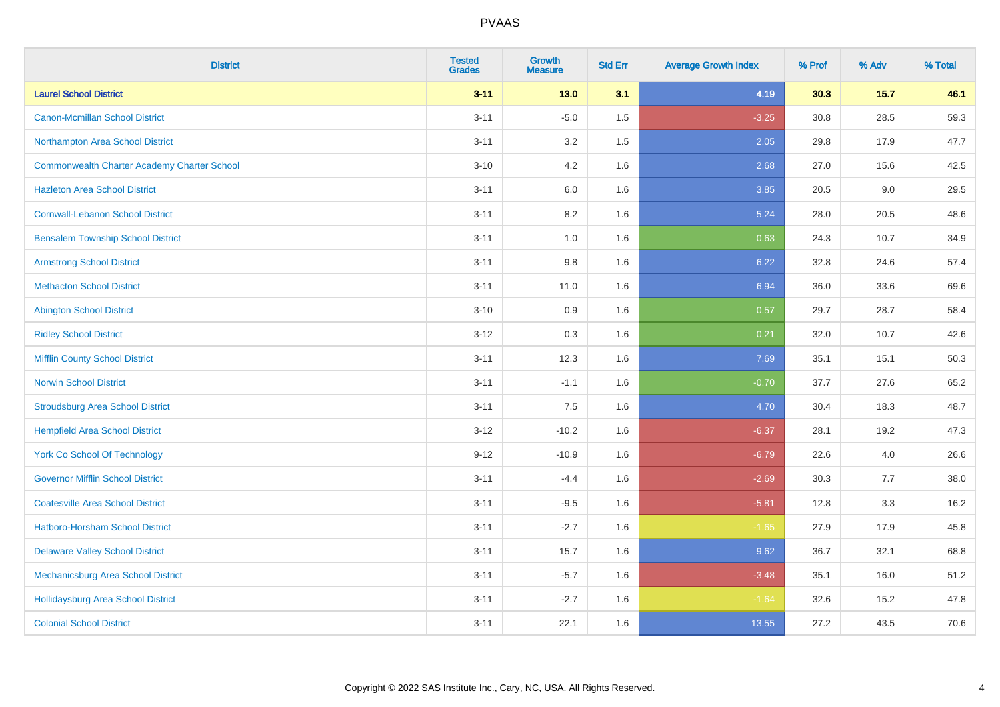| <b>District</b>                                    | <b>Tested</b><br><b>Grades</b> | <b>Growth</b><br><b>Measure</b> | <b>Std Err</b> | <b>Average Growth Index</b> | % Prof | % Adv  | % Total |
|----------------------------------------------------|--------------------------------|---------------------------------|----------------|-----------------------------|--------|--------|---------|
| <b>Laurel School District</b>                      | $3 - 11$                       | $13.0$                          | 3.1            | 4.19                        | 30.3   | $15.7$ | 46.1    |
| <b>Canon-Mcmillan School District</b>              | $3 - 11$                       | $-5.0$                          | 1.5            | $-3.25$                     | 30.8   | 28.5   | 59.3    |
| Northampton Area School District                   | $3 - 11$                       | 3.2                             | 1.5            | 2.05                        | 29.8   | 17.9   | 47.7    |
| <b>Commonwealth Charter Academy Charter School</b> | $3 - 10$                       | 4.2                             | 1.6            | 2.68                        | 27.0   | 15.6   | 42.5    |
| <b>Hazleton Area School District</b>               | $3 - 11$                       | 6.0                             | 1.6            | 3.85                        | 20.5   | 9.0    | 29.5    |
| <b>Cornwall-Lebanon School District</b>            | $3 - 11$                       | 8.2                             | 1.6            | 5.24                        | 28.0   | 20.5   | 48.6    |
| <b>Bensalem Township School District</b>           | $3 - 11$                       | 1.0                             | 1.6            | 0.63                        | 24.3   | 10.7   | 34.9    |
| <b>Armstrong School District</b>                   | $3 - 11$                       | $9.8\,$                         | 1.6            | 6.22                        | 32.8   | 24.6   | 57.4    |
| <b>Methacton School District</b>                   | $3 - 11$                       | 11.0                            | 1.6            | 6.94                        | 36.0   | 33.6   | 69.6    |
| <b>Abington School District</b>                    | $3 - 10$                       | 0.9                             | 1.6            | 0.57                        | 29.7   | 28.7   | 58.4    |
| <b>Ridley School District</b>                      | $3 - 12$                       | 0.3                             | 1.6            | 0.21                        | 32.0   | 10.7   | 42.6    |
| <b>Mifflin County School District</b>              | $3 - 11$                       | 12.3                            | 1.6            | 7.69                        | 35.1   | 15.1   | 50.3    |
| <b>Norwin School District</b>                      | $3 - 11$                       | $-1.1$                          | 1.6            | $-0.70$                     | 37.7   | 27.6   | 65.2    |
| <b>Stroudsburg Area School District</b>            | $3 - 11$                       | 7.5                             | 1.6            | 4.70                        | 30.4   | 18.3   | 48.7    |
| <b>Hempfield Area School District</b>              | $3 - 12$                       | $-10.2$                         | 1.6            | $-6.37$                     | 28.1   | 19.2   | 47.3    |
| <b>York Co School Of Technology</b>                | $9 - 12$                       | $-10.9$                         | 1.6            | $-6.79$                     | 22.6   | 4.0    | 26.6    |
| <b>Governor Mifflin School District</b>            | $3 - 11$                       | $-4.4$                          | 1.6            | $-2.69$                     | 30.3   | 7.7    | 38.0    |
| <b>Coatesville Area School District</b>            | $3 - 11$                       | $-9.5$                          | 1.6            | $-5.81$                     | 12.8   | 3.3    | 16.2    |
| <b>Hatboro-Horsham School District</b>             | $3 - 11$                       | $-2.7$                          | 1.6            | $-1.65$                     | 27.9   | 17.9   | 45.8    |
| <b>Delaware Valley School District</b>             | $3 - 11$                       | 15.7                            | 1.6            | 9.62                        | 36.7   | 32.1   | 68.8    |
| Mechanicsburg Area School District                 | $3 - 11$                       | $-5.7$                          | 1.6            | $-3.48$                     | 35.1   | 16.0   | 51.2    |
| <b>Hollidaysburg Area School District</b>          | $3 - 11$                       | $-2.7$                          | 1.6            | $-1.64$                     | 32.6   | 15.2   | 47.8    |
| <b>Colonial School District</b>                    | $3 - 11$                       | 22.1                            | 1.6            | 13.55                       | 27.2   | 43.5   | 70.6    |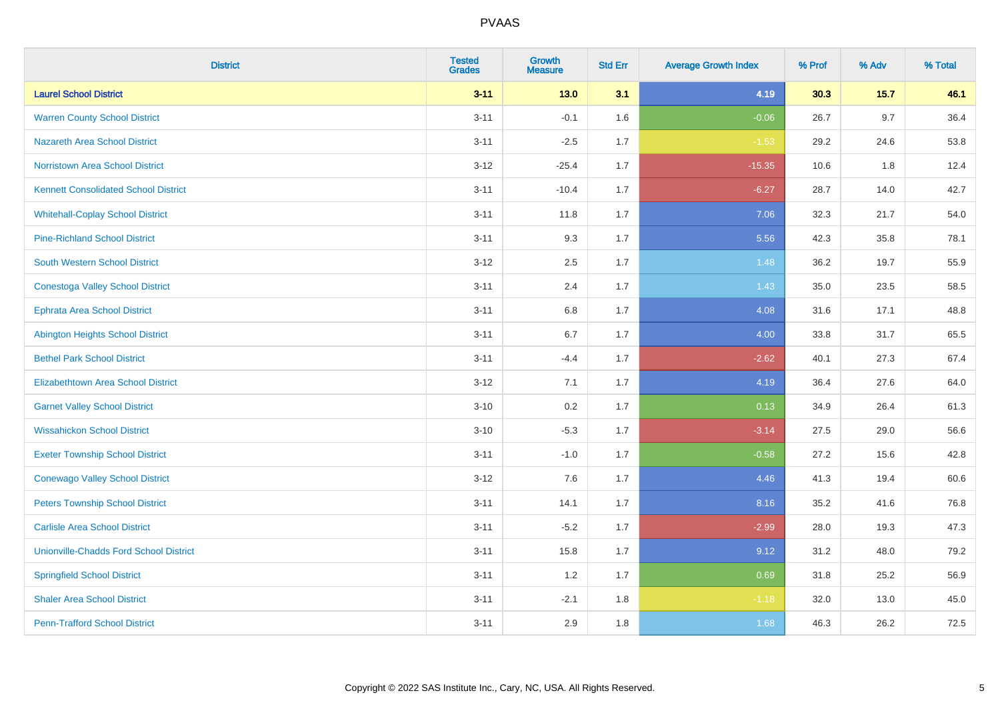| <b>District</b>                               | <b>Tested</b><br><b>Grades</b> | Growth<br><b>Measure</b> | <b>Std Err</b> | <b>Average Growth Index</b> | % Prof | % Adv  | % Total |
|-----------------------------------------------|--------------------------------|--------------------------|----------------|-----------------------------|--------|--------|---------|
| <b>Laurel School District</b>                 | $3 - 11$                       | $13.0$                   | 3.1            | 4.19                        | 30.3   | $15.7$ | 46.1    |
| <b>Warren County School District</b>          | $3 - 11$                       | $-0.1$                   | 1.6            | $-0.06$                     | 26.7   | 9.7    | 36.4    |
| <b>Nazareth Area School District</b>          | $3 - 11$                       | $-2.5$                   | 1.7            | $-1.53$                     | 29.2   | 24.6   | 53.8    |
| Norristown Area School District               | $3 - 12$                       | $-25.4$                  | 1.7            | $-15.35$                    | 10.6   | $1.8$  | 12.4    |
| <b>Kennett Consolidated School District</b>   | $3 - 11$                       | $-10.4$                  | 1.7            | $-6.27$                     | 28.7   | 14.0   | 42.7    |
| <b>Whitehall-Coplay School District</b>       | $3 - 11$                       | 11.8                     | 1.7            | 7.06                        | 32.3   | 21.7   | 54.0    |
| <b>Pine-Richland School District</b>          | $3 - 11$                       | 9.3                      | 1.7            | 5.56                        | 42.3   | 35.8   | 78.1    |
| <b>South Western School District</b>          | $3 - 12$                       | 2.5                      | 1.7            | 1.48                        | 36.2   | 19.7   | 55.9    |
| <b>Conestoga Valley School District</b>       | $3 - 11$                       | 2.4                      | 1.7            | 1.43                        | 35.0   | 23.5   | 58.5    |
| <b>Ephrata Area School District</b>           | $3 - 11$                       | $6.8\,$                  | 1.7            | 4.08                        | 31.6   | 17.1   | 48.8    |
| <b>Abington Heights School District</b>       | $3 - 11$                       | 6.7                      | 1.7            | 4.00                        | 33.8   | 31.7   | 65.5    |
| <b>Bethel Park School District</b>            | $3 - 11$                       | $-4.4$                   | 1.7            | $-2.62$                     | 40.1   | 27.3   | 67.4    |
| Elizabethtown Area School District            | $3 - 12$                       | 7.1                      | 1.7            | 4.19                        | 36.4   | 27.6   | 64.0    |
| <b>Garnet Valley School District</b>          | $3 - 10$                       | 0.2                      | 1.7            | 0.13                        | 34.9   | 26.4   | 61.3    |
| <b>Wissahickon School District</b>            | $3 - 10$                       | $-5.3$                   | 1.7            | $-3.14$                     | 27.5   | 29.0   | 56.6    |
| <b>Exeter Township School District</b>        | $3 - 11$                       | $-1.0$                   | 1.7            | $-0.58$                     | 27.2   | 15.6   | 42.8    |
| <b>Conewago Valley School District</b>        | $3 - 12$                       | 7.6                      | 1.7            | 4.46                        | 41.3   | 19.4   | 60.6    |
| <b>Peters Township School District</b>        | $3 - 11$                       | 14.1                     | 1.7            | 8.16                        | 35.2   | 41.6   | 76.8    |
| <b>Carlisle Area School District</b>          | $3 - 11$                       | $-5.2$                   | 1.7            | $-2.99$                     | 28.0   | 19.3   | 47.3    |
| <b>Unionville-Chadds Ford School District</b> | $3 - 11$                       | 15.8                     | 1.7            | 9.12                        | 31.2   | 48.0   | 79.2    |
| <b>Springfield School District</b>            | $3 - 11$                       | 1.2                      | 1.7            | 0.69                        | 31.8   | 25.2   | 56.9    |
| <b>Shaler Area School District</b>            | $3 - 11$                       | $-2.1$                   | 1.8            | $-1.18$                     | 32.0   | 13.0   | 45.0    |
| <b>Penn-Trafford School District</b>          | $3 - 11$                       | 2.9                      | 1.8            | 1.68                        | 46.3   | 26.2   | 72.5    |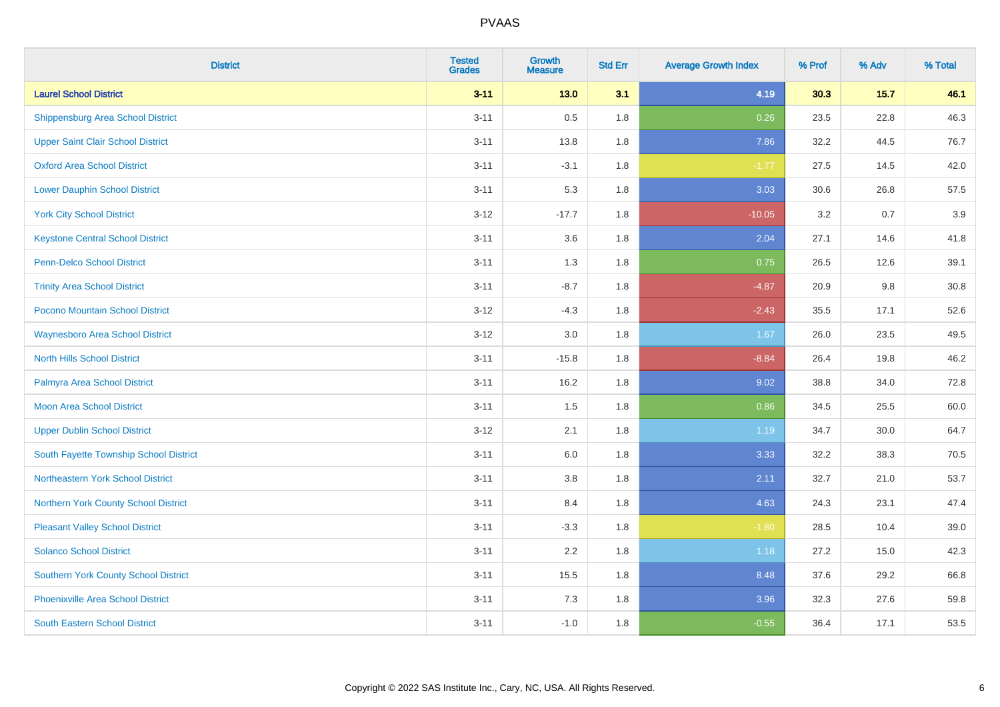| <b>District</b>                             | <b>Tested</b><br><b>Grades</b> | <b>Growth</b><br><b>Measure</b> | <b>Std Err</b> | <b>Average Growth Index</b> | % Prof | % Adv  | % Total |
|---------------------------------------------|--------------------------------|---------------------------------|----------------|-----------------------------|--------|--------|---------|
| <b>Laurel School District</b>               | $3 - 11$                       | $13.0$                          | 3.1            | 4.19                        | 30.3   | $15.7$ | 46.1    |
| <b>Shippensburg Area School District</b>    | $3 - 11$                       | 0.5                             | 1.8            | 0.26                        | 23.5   | 22.8   | 46.3    |
| <b>Upper Saint Clair School District</b>    | $3 - 11$                       | 13.8                            | 1.8            | 7.86                        | 32.2   | 44.5   | 76.7    |
| <b>Oxford Area School District</b>          | $3 - 11$                       | $-3.1$                          | 1.8            | $-1.77$                     | 27.5   | 14.5   | 42.0    |
| <b>Lower Dauphin School District</b>        | $3 - 11$                       | 5.3                             | 1.8            | 3.03                        | 30.6   | 26.8   | 57.5    |
| <b>York City School District</b>            | $3 - 12$                       | $-17.7$                         | 1.8            | $-10.05$                    | 3.2    | 0.7    | 3.9     |
| <b>Keystone Central School District</b>     | $3 - 11$                       | 3.6                             | 1.8            | 2.04                        | 27.1   | 14.6   | 41.8    |
| <b>Penn-Delco School District</b>           | $3 - 11$                       | 1.3                             | 1.8            | 0.75                        | 26.5   | 12.6   | 39.1    |
| <b>Trinity Area School District</b>         | $3 - 11$                       | $-8.7$                          | 1.8            | $-4.87$                     | 20.9   | 9.8    | 30.8    |
| Pocono Mountain School District             | $3-12$                         | $-4.3$                          | 1.8            | $-2.43$                     | 35.5   | 17.1   | 52.6    |
| <b>Waynesboro Area School District</b>      | $3-12$                         | 3.0                             | 1.8            | 1.67                        | 26.0   | 23.5   | 49.5    |
| <b>North Hills School District</b>          | $3 - 11$                       | $-15.8$                         | 1.8            | $-8.84$                     | 26.4   | 19.8   | 46.2    |
| Palmyra Area School District                | $3 - 11$                       | 16.2                            | 1.8            | 9.02                        | 38.8   | 34.0   | 72.8    |
| <b>Moon Area School District</b>            | $3 - 11$                       | 1.5                             | 1.8            | 0.86                        | 34.5   | 25.5   | 60.0    |
| <b>Upper Dublin School District</b>         | $3 - 12$                       | 2.1                             | 1.8            | 1.19                        | 34.7   | 30.0   | 64.7    |
| South Fayette Township School District      | $3 - 11$                       | 6.0                             | 1.8            | 3.33                        | 32.2   | 38.3   | 70.5    |
| Northeastern York School District           | $3 - 11$                       | 3.8                             | 1.8            | 2.11                        | 32.7   | 21.0   | 53.7    |
| <b>Northern York County School District</b> | $3 - 11$                       | 8.4                             | 1.8            | 4.63                        | 24.3   | 23.1   | 47.4    |
| <b>Pleasant Valley School District</b>      | $3 - 11$                       | $-3.3$                          | 1.8            | $-1.80$                     | 28.5   | 10.4   | 39.0    |
| <b>Solanco School District</b>              | $3 - 11$                       | 2.2                             | 1.8            | 1.18                        | 27.2   | 15.0   | 42.3    |
| <b>Southern York County School District</b> | $3 - 11$                       | 15.5                            | 1.8            | 8.48                        | 37.6   | 29.2   | 66.8    |
| <b>Phoenixville Area School District</b>    | $3 - 11$                       | $7.3$                           | 1.8            | 3.96                        | 32.3   | 27.6   | 59.8    |
| <b>South Eastern School District</b>        | $3 - 11$                       | $-1.0$                          | 1.8            | $-0.55$                     | 36.4   | 17.1   | 53.5    |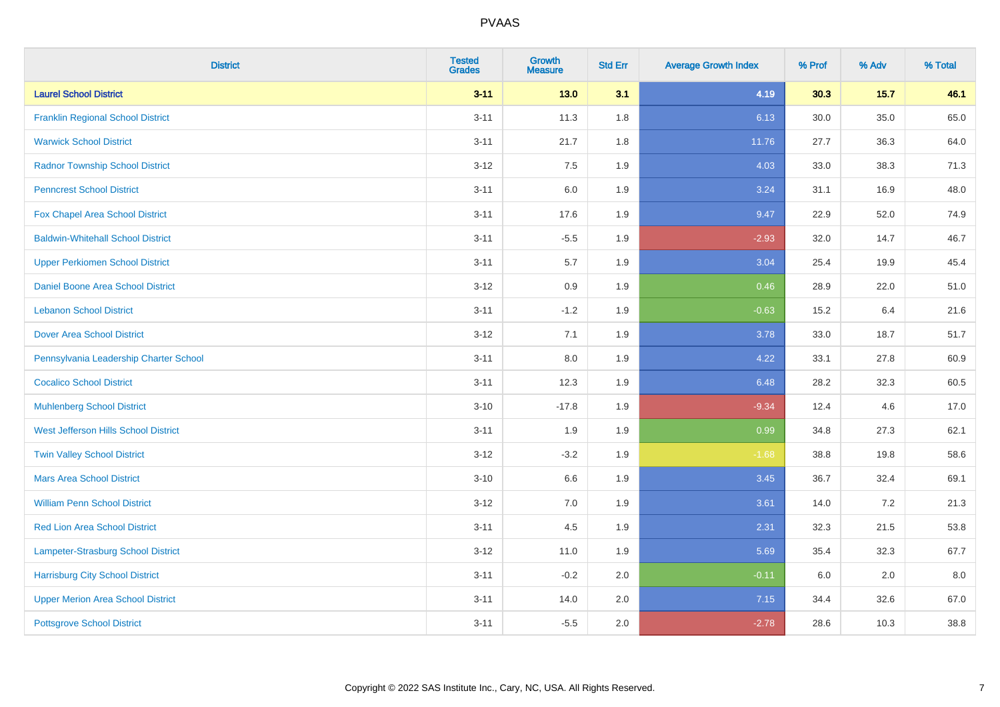| <b>District</b>                          | <b>Tested</b><br><b>Grades</b> | Growth<br><b>Measure</b> | <b>Std Err</b> | <b>Average Growth Index</b> | % Prof | % Adv  | % Total |
|------------------------------------------|--------------------------------|--------------------------|----------------|-----------------------------|--------|--------|---------|
| <b>Laurel School District</b>            | $3 - 11$                       | $13.0$                   | 3.1            | 4.19                        | 30.3   | $15.7$ | 46.1    |
| <b>Franklin Regional School District</b> | $3 - 11$                       | 11.3                     | 1.8            | 6.13                        | 30.0   | 35.0   | 65.0    |
| <b>Warwick School District</b>           | $3 - 11$                       | 21.7                     | 1.8            | 11.76                       | 27.7   | 36.3   | 64.0    |
| <b>Radnor Township School District</b>   | $3 - 12$                       | 7.5                      | 1.9            | 4.03                        | 33.0   | 38.3   | 71.3    |
| <b>Penncrest School District</b>         | $3 - 11$                       | 6.0                      | 1.9            | 3.24                        | 31.1   | 16.9   | 48.0    |
| Fox Chapel Area School District          | $3 - 11$                       | 17.6                     | 1.9            | 9.47                        | 22.9   | 52.0   | 74.9    |
| <b>Baldwin-Whitehall School District</b> | $3 - 11$                       | $-5.5$                   | 1.9            | $-2.93$                     | 32.0   | 14.7   | 46.7    |
| <b>Upper Perkiomen School District</b>   | $3 - 11$                       | 5.7                      | 1.9            | 3.04                        | 25.4   | 19.9   | 45.4    |
| <b>Daniel Boone Area School District</b> | $3 - 12$                       | 0.9                      | 1.9            | 0.46                        | 28.9   | 22.0   | 51.0    |
| <b>Lebanon School District</b>           | $3 - 11$                       | $-1.2$                   | 1.9            | $-0.63$                     | 15.2   | 6.4    | 21.6    |
| <b>Dover Area School District</b>        | $3 - 12$                       | 7.1                      | 1.9            | 3.78                        | 33.0   | 18.7   | 51.7    |
| Pennsylvania Leadership Charter School   | $3 - 11$                       | 8.0                      | 1.9            | 4.22                        | 33.1   | 27.8   | 60.9    |
| <b>Cocalico School District</b>          | $3 - 11$                       | 12.3                     | 1.9            | 6.48                        | 28.2   | 32.3   | 60.5    |
| <b>Muhlenberg School District</b>        | $3 - 10$                       | $-17.8$                  | 1.9            | $-9.34$                     | 12.4   | 4.6    | 17.0    |
| West Jefferson Hills School District     | $3 - 11$                       | 1.9                      | 1.9            | 0.99                        | 34.8   | 27.3   | 62.1    |
| <b>Twin Valley School District</b>       | $3 - 12$                       | $-3.2$                   | 1.9            | $-1.68$                     | 38.8   | 19.8   | 58.6    |
| <b>Mars Area School District</b>         | $3 - 10$                       | 6.6                      | 1.9            | 3.45                        | 36.7   | 32.4   | 69.1    |
| <b>William Penn School District</b>      | $3 - 12$                       | 7.0                      | 1.9            | 3.61                        | 14.0   | 7.2    | 21.3    |
| <b>Red Lion Area School District</b>     | $3 - 11$                       | 4.5                      | 1.9            | 2.31                        | 32.3   | 21.5   | 53.8    |
| Lampeter-Strasburg School District       | $3 - 12$                       | 11.0                     | 1.9            | 5.69                        | 35.4   | 32.3   | 67.7    |
| <b>Harrisburg City School District</b>   | $3 - 11$                       | $-0.2$                   | 2.0            | $-0.11$                     | 6.0    | 2.0    | 8.0     |
| <b>Upper Merion Area School District</b> | $3 - 11$                       | 14.0                     | 2.0            | 7.15                        | 34.4   | 32.6   | 67.0    |
| <b>Pottsgrove School District</b>        | $3 - 11$                       | $-5.5$                   | 2.0            | $-2.78$                     | 28.6   | 10.3   | 38.8    |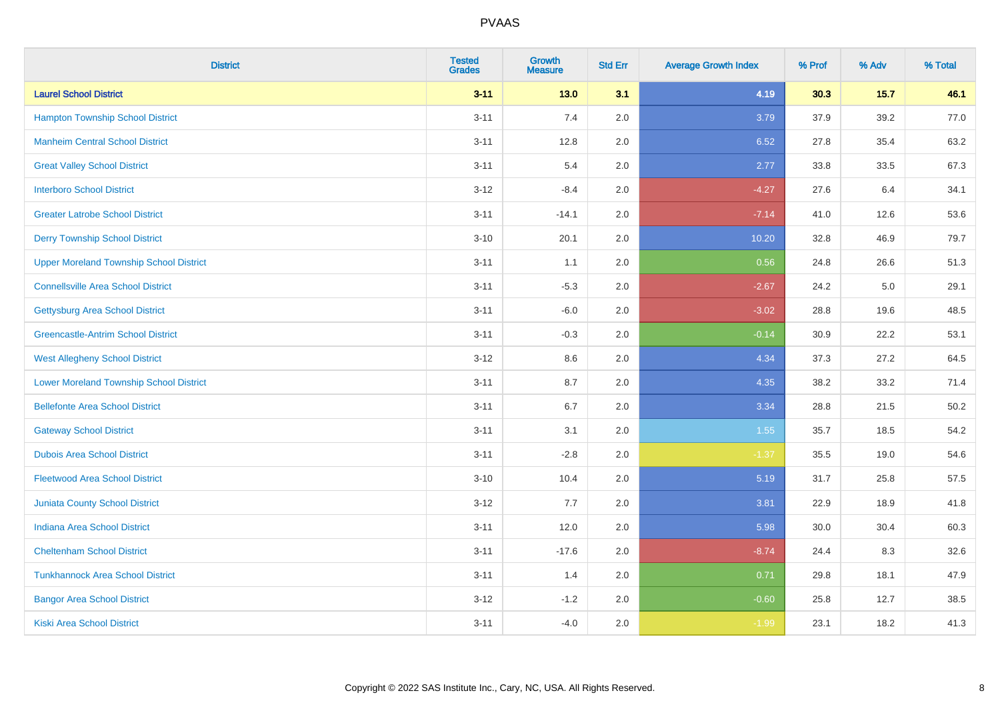| <b>District</b>                                | <b>Tested</b><br><b>Grades</b> | <b>Growth</b><br><b>Measure</b> | <b>Std Err</b> | <b>Average Growth Index</b> | % Prof | % Adv  | % Total |
|------------------------------------------------|--------------------------------|---------------------------------|----------------|-----------------------------|--------|--------|---------|
| <b>Laurel School District</b>                  | $3 - 11$                       | $13.0$                          | 3.1            | 4.19                        | 30.3   | $15.7$ | 46.1    |
| <b>Hampton Township School District</b>        | $3 - 11$                       | 7.4                             | 2.0            | 3.79                        | 37.9   | 39.2   | 77.0    |
| <b>Manheim Central School District</b>         | $3 - 11$                       | 12.8                            | 2.0            | 6.52                        | 27.8   | 35.4   | 63.2    |
| <b>Great Valley School District</b>            | $3 - 11$                       | 5.4                             | 2.0            | 2.77                        | 33.8   | 33.5   | 67.3    |
| <b>Interboro School District</b>               | $3-12$                         | $-8.4$                          | 2.0            | $-4.27$                     | 27.6   | 6.4    | 34.1    |
| <b>Greater Latrobe School District</b>         | $3 - 11$                       | $-14.1$                         | 2.0            | $-7.14$                     | 41.0   | 12.6   | 53.6    |
| <b>Derry Township School District</b>          | $3 - 10$                       | 20.1                            | 2.0            | 10.20                       | 32.8   | 46.9   | 79.7    |
| <b>Upper Moreland Township School District</b> | $3 - 11$                       | 1.1                             | 2.0            | 0.56                        | 24.8   | 26.6   | 51.3    |
| <b>Connellsville Area School District</b>      | $3 - 11$                       | $-5.3$                          | 2.0            | $-2.67$                     | 24.2   | 5.0    | 29.1    |
| <b>Gettysburg Area School District</b>         | $3 - 11$                       | $-6.0$                          | 2.0            | $-3.02$                     | 28.8   | 19.6   | 48.5    |
| <b>Greencastle-Antrim School District</b>      | $3 - 11$                       | $-0.3$                          | 2.0            | $-0.14$                     | 30.9   | 22.2   | 53.1    |
| <b>West Allegheny School District</b>          | $3 - 12$                       | 8.6                             | 2.0            | 4.34                        | 37.3   | 27.2   | 64.5    |
| <b>Lower Moreland Township School District</b> | $3 - 11$                       | 8.7                             | 2.0            | 4.35                        | 38.2   | 33.2   | 71.4    |
| <b>Bellefonte Area School District</b>         | $3 - 11$                       | 6.7                             | 2.0            | 3.34                        | 28.8   | 21.5   | 50.2    |
| <b>Gateway School District</b>                 | $3 - 11$                       | 3.1                             | 2.0            | 1.55                        | 35.7   | 18.5   | 54.2    |
| <b>Dubois Area School District</b>             | $3 - 11$                       | $-2.8$                          | 2.0            | $-1.37$                     | 35.5   | 19.0   | 54.6    |
| <b>Fleetwood Area School District</b>          | $3 - 10$                       | 10.4                            | 2.0            | 5.19                        | 31.7   | 25.8   | 57.5    |
| Juniata County School District                 | $3 - 12$                       | 7.7                             | 2.0            | 3.81                        | 22.9   | 18.9   | 41.8    |
| <b>Indiana Area School District</b>            | $3 - 11$                       | 12.0                            | 2.0            | 5.98                        | 30.0   | 30.4   | 60.3    |
| <b>Cheltenham School District</b>              | $3 - 11$                       | $-17.6$                         | 2.0            | $-8.74$                     | 24.4   | 8.3    | 32.6    |
| <b>Tunkhannock Area School District</b>        | $3 - 11$                       | 1.4                             | 2.0            | 0.71                        | 29.8   | 18.1   | 47.9    |
| <b>Bangor Area School District</b>             | $3 - 12$                       | $-1.2$                          | 2.0            | $-0.60$                     | 25.8   | 12.7   | 38.5    |
| <b>Kiski Area School District</b>              | $3 - 11$                       | $-4.0$                          | 2.0            | $-1.99$                     | 23.1   | 18.2   | 41.3    |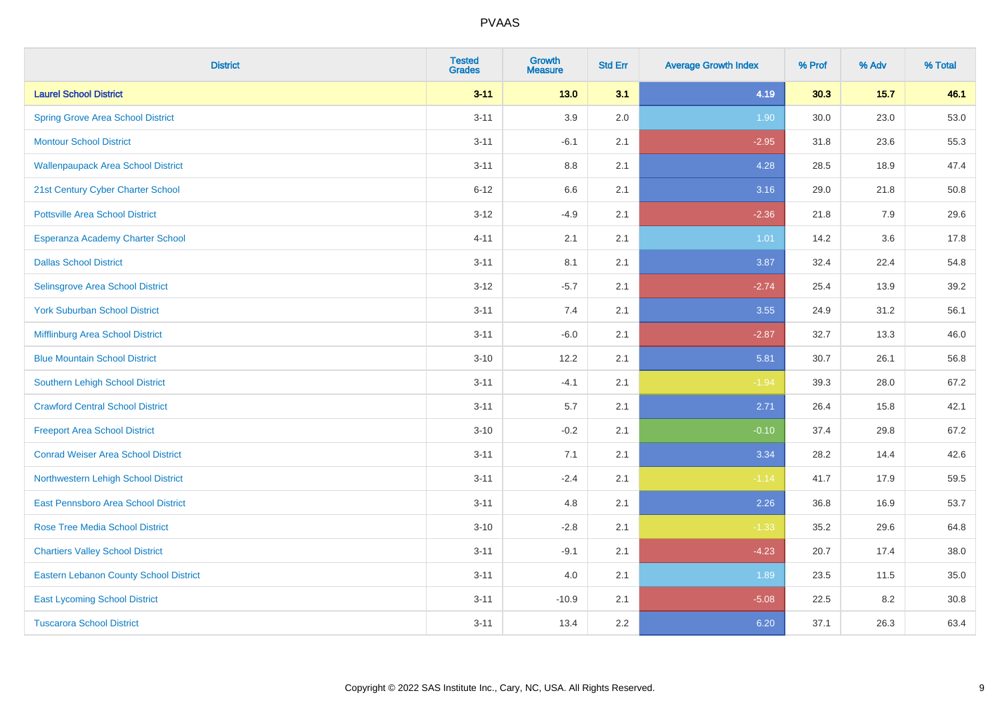| <b>District</b>                               | <b>Tested</b><br><b>Grades</b> | <b>Growth</b><br><b>Measure</b> | <b>Std Err</b> | <b>Average Growth Index</b> | % Prof | % Adv  | % Total |
|-----------------------------------------------|--------------------------------|---------------------------------|----------------|-----------------------------|--------|--------|---------|
| <b>Laurel School District</b>                 | $3 - 11$                       | $13.0$                          | 3.1            | 4.19                        | 30.3   | $15.7$ | 46.1    |
| <b>Spring Grove Area School District</b>      | $3 - 11$                       | 3.9                             | 2.0            | 1.90                        | 30.0   | 23.0   | 53.0    |
| <b>Montour School District</b>                | $3 - 11$                       | $-6.1$                          | 2.1            | $-2.95$                     | 31.8   | 23.6   | 55.3    |
| <b>Wallenpaupack Area School District</b>     | $3 - 11$                       | $8.8\,$                         | 2.1            | 4.28                        | 28.5   | 18.9   | 47.4    |
| 21st Century Cyber Charter School             | $6 - 12$                       | 6.6                             | 2.1            | 3.16                        | 29.0   | 21.8   | 50.8    |
| <b>Pottsville Area School District</b>        | $3 - 12$                       | $-4.9$                          | 2.1            | $-2.36$                     | 21.8   | 7.9    | 29.6    |
| Esperanza Academy Charter School              | $4 - 11$                       | 2.1                             | 2.1            | $1.01$                      | 14.2   | 3.6    | 17.8    |
| <b>Dallas School District</b>                 | $3 - 11$                       | 8.1                             | 2.1            | 3.87                        | 32.4   | 22.4   | 54.8    |
| Selinsgrove Area School District              | $3 - 12$                       | $-5.7$                          | 2.1            | $-2.74$                     | 25.4   | 13.9   | 39.2    |
| <b>York Suburban School District</b>          | $3 - 11$                       | 7.4                             | 2.1            | 3.55                        | 24.9   | 31.2   | 56.1    |
| Mifflinburg Area School District              | $3 - 11$                       | $-6.0$                          | 2.1            | $-2.87$                     | 32.7   | 13.3   | 46.0    |
| <b>Blue Mountain School District</b>          | $3 - 10$                       | 12.2                            | 2.1            | 5.81                        | 30.7   | 26.1   | 56.8    |
| Southern Lehigh School District               | $3 - 11$                       | $-4.1$                          | 2.1            | $-1.94$                     | 39.3   | 28.0   | 67.2    |
| <b>Crawford Central School District</b>       | $3 - 11$                       | 5.7                             | 2.1            | 2.71                        | 26.4   | 15.8   | 42.1    |
| <b>Freeport Area School District</b>          | $3 - 10$                       | $-0.2$                          | 2.1            | $-0.10$                     | 37.4   | 29.8   | 67.2    |
| <b>Conrad Weiser Area School District</b>     | $3 - 11$                       | 7.1                             | 2.1            | 3.34                        | 28.2   | 14.4   | 42.6    |
| Northwestern Lehigh School District           | $3 - 11$                       | $-2.4$                          | 2.1            | $-1.14$                     | 41.7   | 17.9   | 59.5    |
| East Pennsboro Area School District           | $3 - 11$                       | 4.8                             | 2.1            | 2.26                        | 36.8   | 16.9   | 53.7    |
| <b>Rose Tree Media School District</b>        | $3 - 10$                       | $-2.8$                          | 2.1            | $-1.33$                     | 35.2   | 29.6   | 64.8    |
| <b>Chartiers Valley School District</b>       | $3 - 11$                       | $-9.1$                          | 2.1            | $-4.23$                     | 20.7   | 17.4   | 38.0    |
| <b>Eastern Lebanon County School District</b> | $3 - 11$                       | 4.0                             | 2.1            | 1.89                        | 23.5   | 11.5   | 35.0    |
| <b>East Lycoming School District</b>          | $3 - 11$                       | $-10.9$                         | 2.1            | $-5.08$                     | 22.5   | 8.2    | 30.8    |
| <b>Tuscarora School District</b>              | $3 - 11$                       | 13.4                            | 2.2            | 6.20                        | 37.1   | 26.3   | 63.4    |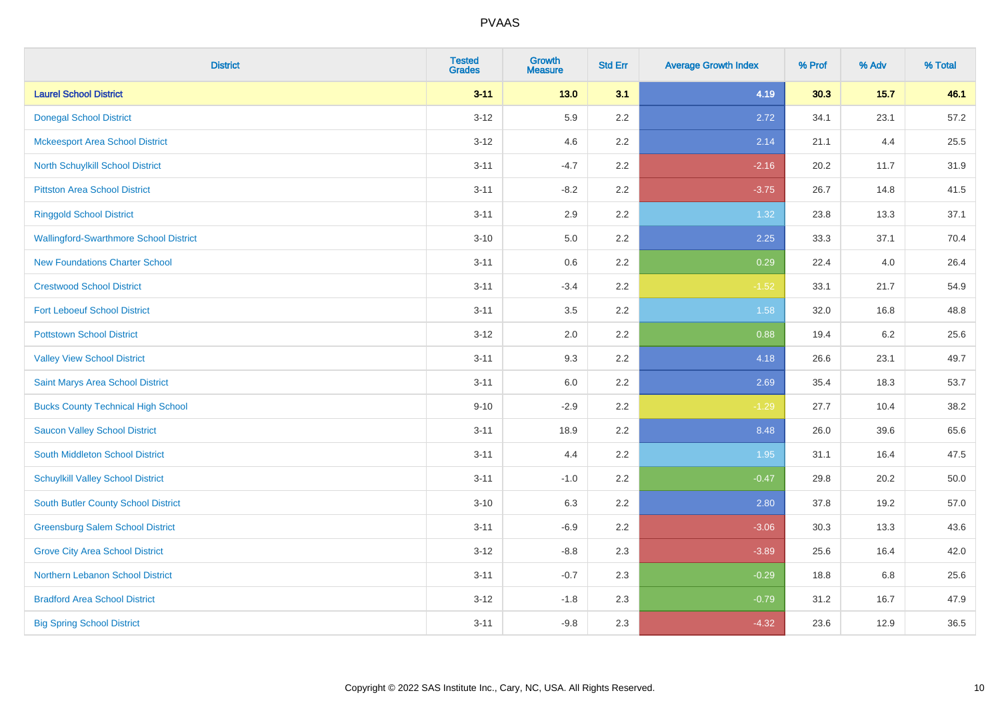| <b>District</b>                               | <b>Tested</b><br><b>Grades</b> | <b>Growth</b><br><b>Measure</b> | <b>Std Err</b> | <b>Average Growth Index</b> | % Prof | % Adv  | % Total |
|-----------------------------------------------|--------------------------------|---------------------------------|----------------|-----------------------------|--------|--------|---------|
| <b>Laurel School District</b>                 | $3 - 11$                       | $13.0$                          | 3.1            | 4.19                        | 30.3   | $15.7$ | 46.1    |
| <b>Donegal School District</b>                | $3 - 12$                       | 5.9                             | 2.2            | 2.72                        | 34.1   | 23.1   | 57.2    |
| <b>Mckeesport Area School District</b>        | $3 - 12$                       | 4.6                             | 2.2            | 2.14                        | 21.1   | 4.4    | 25.5    |
| North Schuylkill School District              | $3 - 11$                       | $-4.7$                          | 2.2            | $-2.16$                     | 20.2   | 11.7   | 31.9    |
| <b>Pittston Area School District</b>          | $3 - 11$                       | $-8.2$                          | 2.2            | $-3.75$                     | 26.7   | 14.8   | 41.5    |
| <b>Ringgold School District</b>               | $3 - 11$                       | 2.9                             | 2.2            | 1.32                        | 23.8   | 13.3   | 37.1    |
| <b>Wallingford-Swarthmore School District</b> | $3 - 10$                       | 5.0                             | 2.2            | 2.25                        | 33.3   | 37.1   | 70.4    |
| <b>New Foundations Charter School</b>         | $3 - 11$                       | $0.6\,$                         | 2.2            | 0.29                        | 22.4   | 4.0    | 26.4    |
| <b>Crestwood School District</b>              | $3 - 11$                       | $-3.4$                          | 2.2            | $-1.52$                     | 33.1   | 21.7   | 54.9    |
| <b>Fort Leboeuf School District</b>           | $3 - 11$                       | 3.5                             | 2.2            | 1.58                        | 32.0   | 16.8   | 48.8    |
| <b>Pottstown School District</b>              | $3-12$                         | 2.0                             | 2.2            | 0.88                        | 19.4   | 6.2    | 25.6    |
| <b>Valley View School District</b>            | $3 - 11$                       | 9.3                             | 2.2            | 4.18                        | 26.6   | 23.1   | 49.7    |
| Saint Marys Area School District              | $3 - 11$                       | 6.0                             | 2.2            | 2.69                        | 35.4   | 18.3   | 53.7    |
| <b>Bucks County Technical High School</b>     | $9 - 10$                       | $-2.9$                          | 2.2            | $-1.29$                     | 27.7   | 10.4   | 38.2    |
| <b>Saucon Valley School District</b>          | $3 - 11$                       | 18.9                            | 2.2            | 8.48                        | 26.0   | 39.6   | 65.6    |
| <b>South Middleton School District</b>        | $3 - 11$                       | 4.4                             | 2.2            | 1.95                        | 31.1   | 16.4   | 47.5    |
| <b>Schuylkill Valley School District</b>      | $3 - 11$                       | $-1.0$                          | 2.2            | $-0.47$                     | 29.8   | 20.2   | 50.0    |
| <b>South Butler County School District</b>    | $3 - 10$                       | 6.3                             | 2.2            | 2.80                        | 37.8   | 19.2   | 57.0    |
| <b>Greensburg Salem School District</b>       | $3 - 11$                       | $-6.9$                          | 2.2            | $-3.06$                     | 30.3   | 13.3   | 43.6    |
| <b>Grove City Area School District</b>        | $3-12$                         | $-8.8$                          | 2.3            | $-3.89$                     | 25.6   | 16.4   | 42.0    |
| Northern Lebanon School District              | $3 - 11$                       | $-0.7$                          | 2.3            | $-0.29$                     | 18.8   | 6.8    | 25.6    |
| <b>Bradford Area School District</b>          | $3 - 12$                       | $-1.8$                          | 2.3            | $-0.79$                     | 31.2   | 16.7   | 47.9    |
| <b>Big Spring School District</b>             | $3 - 11$                       | $-9.8$                          | 2.3            | $-4.32$                     | 23.6   | 12.9   | 36.5    |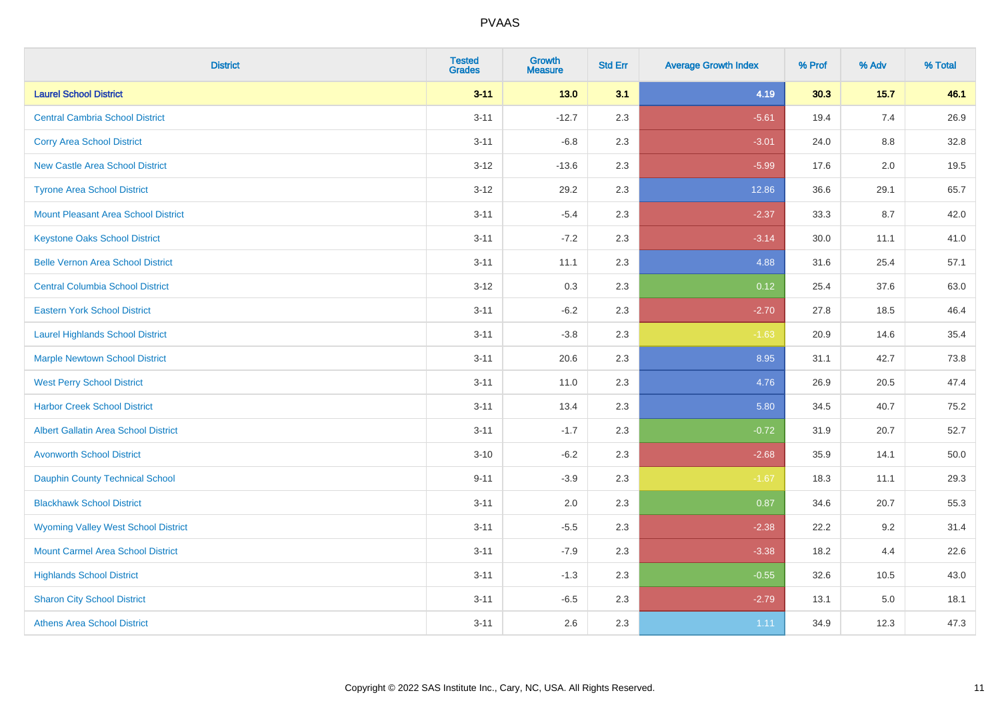| <b>District</b>                             | <b>Tested</b><br><b>Grades</b> | <b>Growth</b><br><b>Measure</b> | <b>Std Err</b> | <b>Average Growth Index</b> | % Prof | % Adv   | % Total |
|---------------------------------------------|--------------------------------|---------------------------------|----------------|-----------------------------|--------|---------|---------|
| <b>Laurel School District</b>               | $3 - 11$                       | $13.0$                          | 3.1            | 4.19                        | 30.3   | $15.7$  | 46.1    |
| <b>Central Cambria School District</b>      | $3 - 11$                       | $-12.7$                         | 2.3            | $-5.61$                     | 19.4   | 7.4     | 26.9    |
| <b>Corry Area School District</b>           | $3 - 11$                       | $-6.8$                          | 2.3            | $-3.01$                     | 24.0   | $8.8\,$ | 32.8    |
| <b>New Castle Area School District</b>      | $3 - 12$                       | $-13.6$                         | 2.3            | $-5.99$                     | 17.6   | 2.0     | 19.5    |
| <b>Tyrone Area School District</b>          | $3 - 12$                       | 29.2                            | 2.3            | 12.86                       | 36.6   | 29.1    | 65.7    |
| <b>Mount Pleasant Area School District</b>  | $3 - 11$                       | $-5.4$                          | 2.3            | $-2.37$                     | 33.3   | 8.7     | 42.0    |
| <b>Keystone Oaks School District</b>        | $3 - 11$                       | $-7.2$                          | 2.3            | $-3.14$                     | 30.0   | 11.1    | 41.0    |
| <b>Belle Vernon Area School District</b>    | $3 - 11$                       | 11.1                            | 2.3            | 4.88                        | 31.6   | 25.4    | 57.1    |
| <b>Central Columbia School District</b>     | $3 - 12$                       | 0.3                             | 2.3            | 0.12                        | 25.4   | 37.6    | 63.0    |
| <b>Eastern York School District</b>         | $3 - 11$                       | $-6.2$                          | 2.3            | $-2.70$                     | 27.8   | 18.5    | 46.4    |
| <b>Laurel Highlands School District</b>     | $3 - 11$                       | $-3.8$                          | 2.3            | $-1.63$                     | 20.9   | 14.6    | 35.4    |
| <b>Marple Newtown School District</b>       | $3 - 11$                       | 20.6                            | 2.3            | 8.95                        | 31.1   | 42.7    | 73.8    |
| <b>West Perry School District</b>           | $3 - 11$                       | 11.0                            | 2.3            | 4.76                        | 26.9   | 20.5    | 47.4    |
| <b>Harbor Creek School District</b>         | $3 - 11$                       | 13.4                            | 2.3            | 5.80                        | 34.5   | 40.7    | 75.2    |
| <b>Albert Gallatin Area School District</b> | $3 - 11$                       | $-1.7$                          | 2.3            | $-0.72$                     | 31.9   | 20.7    | 52.7    |
| <b>Avonworth School District</b>            | $3 - 10$                       | $-6.2$                          | 2.3            | $-2.68$                     | 35.9   | 14.1    | 50.0    |
| Dauphin County Technical School             | $9 - 11$                       | $-3.9$                          | 2.3            | $-1.67$                     | 18.3   | 11.1    | 29.3    |
| <b>Blackhawk School District</b>            | $3 - 11$                       | 2.0                             | 2.3            | 0.87                        | 34.6   | 20.7    | 55.3    |
| <b>Wyoming Valley West School District</b>  | $3 - 11$                       | $-5.5$                          | 2.3            | $-2.38$                     | 22.2   | 9.2     | 31.4    |
| <b>Mount Carmel Area School District</b>    | $3 - 11$                       | $-7.9$                          | 2.3            | $-3.38$                     | 18.2   | 4.4     | 22.6    |
| <b>Highlands School District</b>            | $3 - 11$                       | $-1.3$                          | 2.3            | $-0.55$                     | 32.6   | 10.5    | 43.0    |
| <b>Sharon City School District</b>          | $3 - 11$                       | $-6.5$                          | 2.3            | $-2.79$                     | 13.1   | $5.0\,$ | 18.1    |
| <b>Athens Area School District</b>          | $3 - 11$                       | 2.6                             | 2.3            | 1.11                        | 34.9   | 12.3    | 47.3    |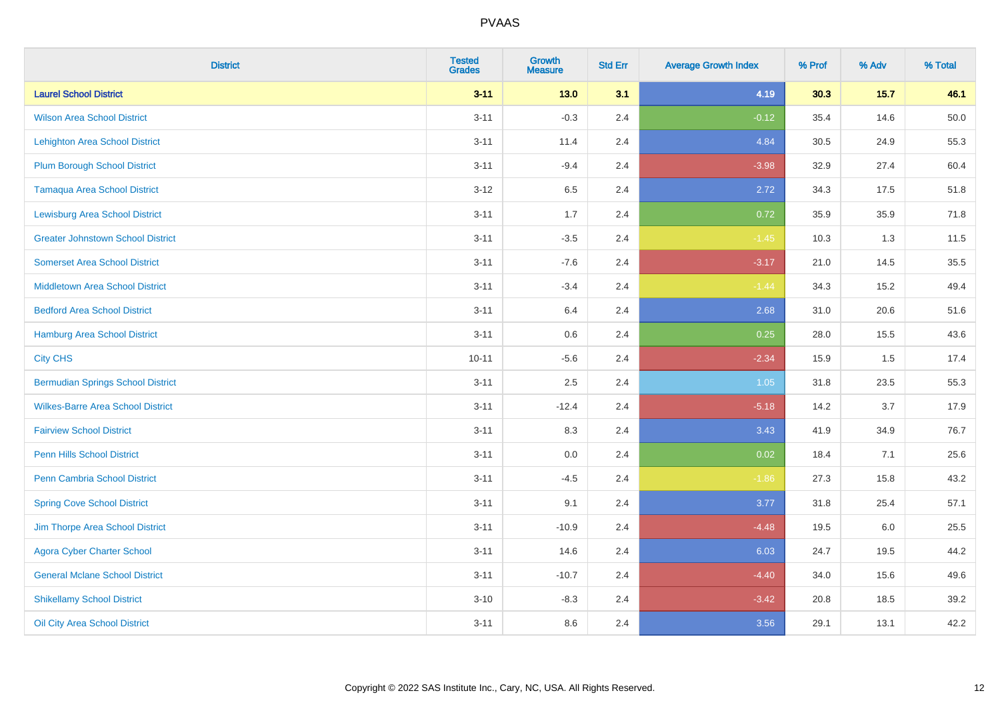| <b>District</b>                          | <b>Tested</b><br><b>Grades</b> | <b>Growth</b><br><b>Measure</b> | <b>Std Err</b> | <b>Average Growth Index</b> | % Prof | % Adv  | % Total |
|------------------------------------------|--------------------------------|---------------------------------|----------------|-----------------------------|--------|--------|---------|
| <b>Laurel School District</b>            | $3 - 11$                       | $13.0$                          | 3.1            | 4.19                        | 30.3   | $15.7$ | 46.1    |
| <b>Wilson Area School District</b>       | $3 - 11$                       | $-0.3$                          | 2.4            | $-0.12$                     | 35.4   | 14.6   | 50.0    |
| <b>Lehighton Area School District</b>    | $3 - 11$                       | 11.4                            | 2.4            | 4.84                        | 30.5   | 24.9   | 55.3    |
| <b>Plum Borough School District</b>      | $3 - 11$                       | $-9.4$                          | 2.4            | $-3.98$                     | 32.9   | 27.4   | 60.4    |
| <b>Tamaqua Area School District</b>      | $3 - 12$                       | 6.5                             | 2.4            | 2.72                        | 34.3   | 17.5   | 51.8    |
| <b>Lewisburg Area School District</b>    | $3 - 11$                       | 1.7                             | 2.4            | 0.72                        | 35.9   | 35.9   | 71.8    |
| <b>Greater Johnstown School District</b> | $3 - 11$                       | $-3.5$                          | 2.4            | $-1.45$                     | 10.3   | 1.3    | 11.5    |
| <b>Somerset Area School District</b>     | $3 - 11$                       | $-7.6$                          | 2.4            | $-3.17$                     | 21.0   | 14.5   | 35.5    |
| <b>Middletown Area School District</b>   | $3 - 11$                       | $-3.4$                          | 2.4            | $-1.44$                     | 34.3   | 15.2   | 49.4    |
| <b>Bedford Area School District</b>      | $3 - 11$                       | 6.4                             | 2.4            | 2.68                        | 31.0   | 20.6   | 51.6    |
| Hamburg Area School District             | $3 - 11$                       | 0.6                             | 2.4            | 0.25                        | 28.0   | 15.5   | 43.6    |
| <b>City CHS</b>                          | $10 - 11$                      | $-5.6$                          | 2.4            | $-2.34$                     | 15.9   | 1.5    | 17.4    |
| <b>Bermudian Springs School District</b> | $3 - 11$                       | 2.5                             | 2.4            | 1.05                        | 31.8   | 23.5   | 55.3    |
| <b>Wilkes-Barre Area School District</b> | $3 - 11$                       | $-12.4$                         | 2.4            | $-5.18$                     | 14.2   | 3.7    | 17.9    |
| <b>Fairview School District</b>          | $3 - 11$                       | 8.3                             | 2.4            | 3.43                        | 41.9   | 34.9   | 76.7    |
| <b>Penn Hills School District</b>        | $3 - 11$                       | 0.0                             | 2.4            | 0.02                        | 18.4   | 7.1    | 25.6    |
| Penn Cambria School District             | $3 - 11$                       | $-4.5$                          | 2.4            | $-1.86$                     | 27.3   | 15.8   | 43.2    |
| <b>Spring Cove School District</b>       | $3 - 11$                       | 9.1                             | 2.4            | 3.77                        | 31.8   | 25.4   | 57.1    |
| Jim Thorpe Area School District          | $3 - 11$                       | $-10.9$                         | 2.4            | $-4.48$                     | 19.5   | 6.0    | 25.5    |
| <b>Agora Cyber Charter School</b>        | $3 - 11$                       | 14.6                            | 2.4            | 6.03                        | 24.7   | 19.5   | 44.2    |
| <b>General Mclane School District</b>    | $3 - 11$                       | $-10.7$                         | 2.4            | $-4.40$                     | 34.0   | 15.6   | 49.6    |
| <b>Shikellamy School District</b>        | $3 - 10$                       | $-8.3$                          | 2.4            | $-3.42$                     | 20.8   | 18.5   | 39.2    |
| Oil City Area School District            | $3 - 11$                       | 8.6                             | 2.4            | 3.56                        | 29.1   | 13.1   | 42.2    |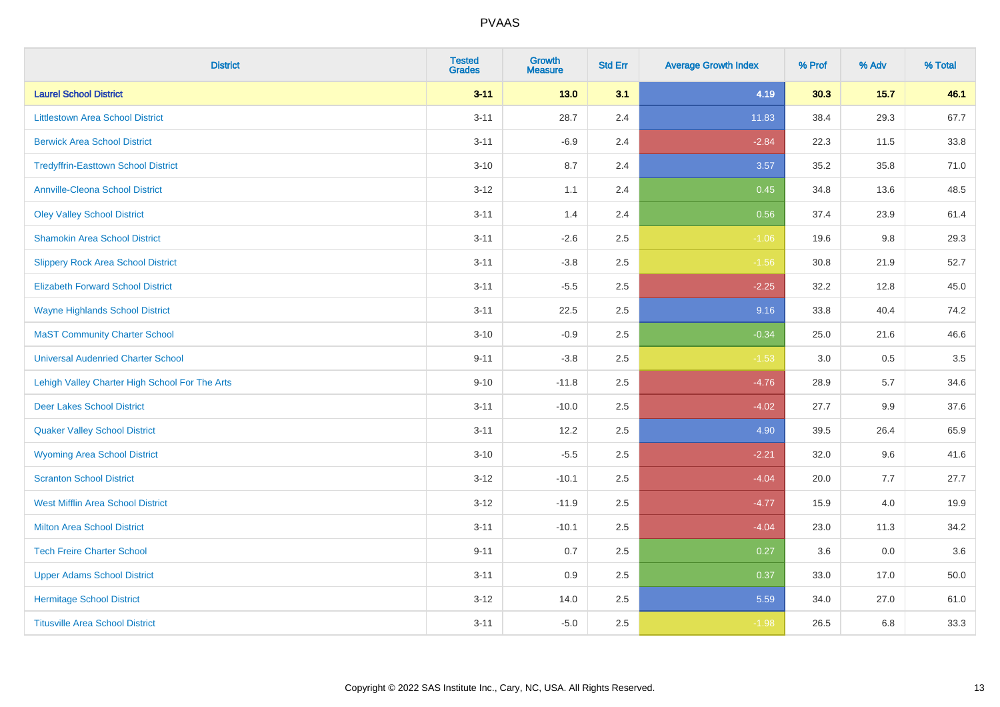| <b>District</b>                                | <b>Tested</b><br><b>Grades</b> | <b>Growth</b><br><b>Measure</b> | <b>Std Err</b> | <b>Average Growth Index</b> | % Prof | % Adv  | % Total |
|------------------------------------------------|--------------------------------|---------------------------------|----------------|-----------------------------|--------|--------|---------|
| <b>Laurel School District</b>                  | $3 - 11$                       | 13.0                            | 3.1            | 4.19                        | 30.3   | $15.7$ | 46.1    |
| <b>Littlestown Area School District</b>        | $3 - 11$                       | 28.7                            | 2.4            | 11.83                       | 38.4   | 29.3   | 67.7    |
| <b>Berwick Area School District</b>            | $3 - 11$                       | $-6.9$                          | 2.4            | $-2.84$                     | 22.3   | 11.5   | 33.8    |
| <b>Tredyffrin-Easttown School District</b>     | $3 - 10$                       | 8.7                             | 2.4            | 3.57                        | 35.2   | 35.8   | 71.0    |
| Annville-Cleona School District                | $3-12$                         | 1.1                             | 2.4            | 0.45                        | 34.8   | 13.6   | 48.5    |
| <b>Oley Valley School District</b>             | $3 - 11$                       | 1.4                             | 2.4            | 0.56                        | 37.4   | 23.9   | 61.4    |
| <b>Shamokin Area School District</b>           | $3 - 11$                       | $-2.6$                          | 2.5            | $-1.06$                     | 19.6   | 9.8    | 29.3    |
| <b>Slippery Rock Area School District</b>      | $3 - 11$                       | $-3.8$                          | 2.5            | $-1.56$                     | 30.8   | 21.9   | 52.7    |
| <b>Elizabeth Forward School District</b>       | $3 - 11$                       | $-5.5$                          | 2.5            | $-2.25$                     | 32.2   | 12.8   | 45.0    |
| <b>Wayne Highlands School District</b>         | $3 - 11$                       | 22.5                            | 2.5            | 9.16                        | 33.8   | 40.4   | 74.2    |
| <b>MaST Community Charter School</b>           | $3 - 10$                       | $-0.9$                          | 2.5            | $-0.34$                     | 25.0   | 21.6   | 46.6    |
| <b>Universal Audenried Charter School</b>      | $9 - 11$                       | $-3.8$                          | 2.5            | $-1.53$                     | 3.0    | 0.5    | 3.5     |
| Lehigh Valley Charter High School For The Arts | $9 - 10$                       | $-11.8$                         | 2.5            | $-4.76$                     | 28.9   | 5.7    | 34.6    |
| <b>Deer Lakes School District</b>              | $3 - 11$                       | $-10.0$                         | 2.5            | $-4.02$                     | 27.7   | 9.9    | 37.6    |
| <b>Quaker Valley School District</b>           | $3 - 11$                       | 12.2                            | 2.5            | 4.90                        | 39.5   | 26.4   | 65.9    |
| <b>Wyoming Area School District</b>            | $3 - 10$                       | $-5.5$                          | 2.5            | $-2.21$                     | 32.0   | 9.6    | 41.6    |
| <b>Scranton School District</b>                | $3 - 12$                       | $-10.1$                         | 2.5            | $-4.04$                     | 20.0   | 7.7    | 27.7    |
| <b>West Mifflin Area School District</b>       | $3 - 12$                       | $-11.9$                         | 2.5            | $-4.77$                     | 15.9   | 4.0    | 19.9    |
| <b>Milton Area School District</b>             | $3 - 11$                       | $-10.1$                         | 2.5            | $-4.04$                     | 23.0   | 11.3   | 34.2    |
| <b>Tech Freire Charter School</b>              | $9 - 11$                       | $0.7\,$                         | 2.5            | 0.27                        | 3.6    | 0.0    | 3.6     |
| <b>Upper Adams School District</b>             | $3 - 11$                       | 0.9                             | 2.5            | 0.37                        | 33.0   | 17.0   | 50.0    |
| <b>Hermitage School District</b>               | $3 - 12$                       | 14.0                            | 2.5            | 5.59                        | 34.0   | 27.0   | 61.0    |
| <b>Titusville Area School District</b>         | $3 - 11$                       | $-5.0$                          | 2.5            | $-1.98$                     | 26.5   | 6.8    | 33.3    |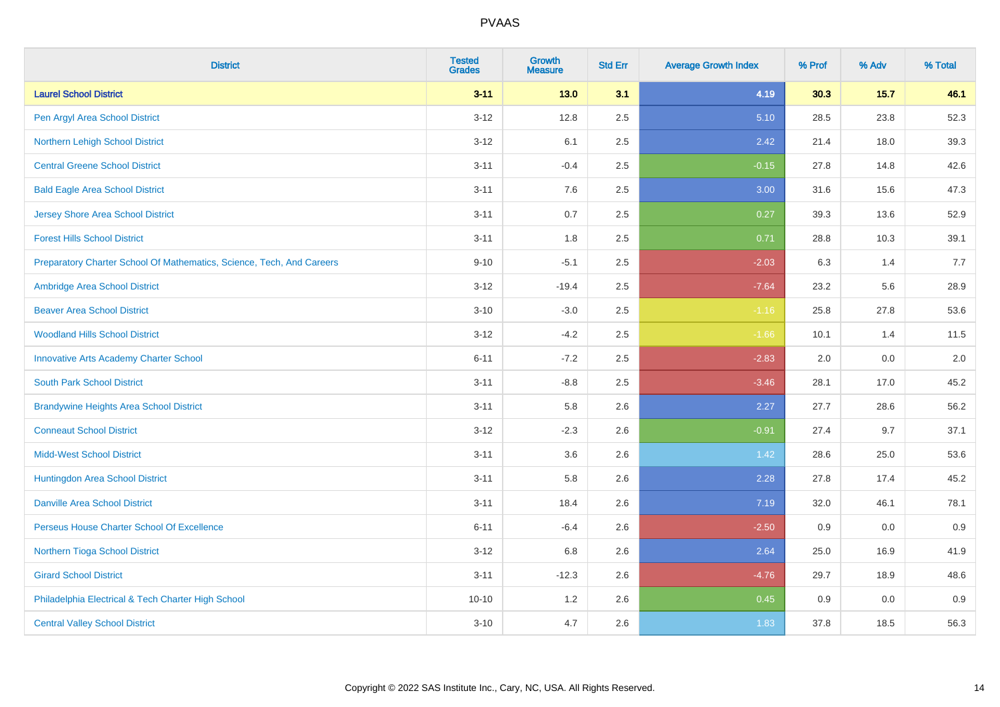| <b>District</b>                                                       | <b>Tested</b><br><b>Grades</b> | <b>Growth</b><br><b>Measure</b> | <b>Std Err</b> | <b>Average Growth Index</b> | % Prof | % Adv  | % Total |
|-----------------------------------------------------------------------|--------------------------------|---------------------------------|----------------|-----------------------------|--------|--------|---------|
| <b>Laurel School District</b>                                         | $3 - 11$                       | 13.0                            | 3.1            | 4.19                        | 30.3   | $15.7$ | 46.1    |
| Pen Argyl Area School District                                        | $3 - 12$                       | 12.8                            | 2.5            | 5.10                        | 28.5   | 23.8   | 52.3    |
| Northern Lehigh School District                                       | $3 - 12$                       | 6.1                             | 2.5            | 2.42                        | 21.4   | 18.0   | 39.3    |
| <b>Central Greene School District</b>                                 | $3 - 11$                       | $-0.4$                          | 2.5            | $-0.15$                     | 27.8   | 14.8   | 42.6    |
| <b>Bald Eagle Area School District</b>                                | $3 - 11$                       | 7.6                             | 2.5            | 3.00                        | 31.6   | 15.6   | 47.3    |
| <b>Jersey Shore Area School District</b>                              | $3 - 11$                       | 0.7                             | 2.5            | 0.27                        | 39.3   | 13.6   | 52.9    |
| <b>Forest Hills School District</b>                                   | $3 - 11$                       | 1.8                             | 2.5            | 0.71                        | 28.8   | 10.3   | 39.1    |
| Preparatory Charter School Of Mathematics, Science, Tech, And Careers | $9 - 10$                       | $-5.1$                          | 2.5            | $-2.03$                     | 6.3    | 1.4    | 7.7     |
| Ambridge Area School District                                         | $3 - 12$                       | $-19.4$                         | 2.5            | $-7.64$                     | 23.2   | 5.6    | 28.9    |
| <b>Beaver Area School District</b>                                    | $3 - 10$                       | $-3.0$                          | 2.5            | $-1.16$                     | 25.8   | 27.8   | 53.6    |
| <b>Woodland Hills School District</b>                                 | $3 - 12$                       | $-4.2$                          | 2.5            | $-1.66$                     | 10.1   | 1.4    | 11.5    |
| <b>Innovative Arts Academy Charter School</b>                         | $6 - 11$                       | $-7.2$                          | 2.5            | $-2.83$                     | 2.0    | 0.0    | 2.0     |
| <b>South Park School District</b>                                     | $3 - 11$                       | $-8.8$                          | 2.5            | $-3.46$                     | 28.1   | 17.0   | 45.2    |
| <b>Brandywine Heights Area School District</b>                        | $3 - 11$                       | 5.8                             | 2.6            | 2.27                        | 27.7   | 28.6   | 56.2    |
| <b>Conneaut School District</b>                                       | $3 - 12$                       | $-2.3$                          | 2.6            | $-0.91$                     | 27.4   | 9.7    | 37.1    |
| <b>Midd-West School District</b>                                      | $3 - 11$                       | 3.6                             | 2.6            | 1.42                        | 28.6   | 25.0   | 53.6    |
| Huntingdon Area School District                                       | $3 - 11$                       | 5.8                             | 2.6            | 2.28                        | 27.8   | 17.4   | 45.2    |
| <b>Danville Area School District</b>                                  | $3 - 11$                       | 18.4                            | 2.6            | 7.19                        | 32.0   | 46.1   | 78.1    |
| Perseus House Charter School Of Excellence                            | $6 - 11$                       | $-6.4$                          | 2.6            | $-2.50$                     | 0.9    | 0.0    | 0.9     |
| Northern Tioga School District                                        | $3 - 12$                       | 6.8                             | 2.6            | 2.64                        | 25.0   | 16.9   | 41.9    |
| <b>Girard School District</b>                                         | $3 - 11$                       | $-12.3$                         | 2.6            | $-4.76$                     | 29.7   | 18.9   | 48.6    |
| Philadelphia Electrical & Tech Charter High School                    | $10 - 10$                      | 1.2                             | 2.6            | 0.45                        | 0.9    | 0.0    | 0.9     |
| <b>Central Valley School District</b>                                 | $3 - 10$                       | 4.7                             | 2.6            | 1.83                        | 37.8   | 18.5   | 56.3    |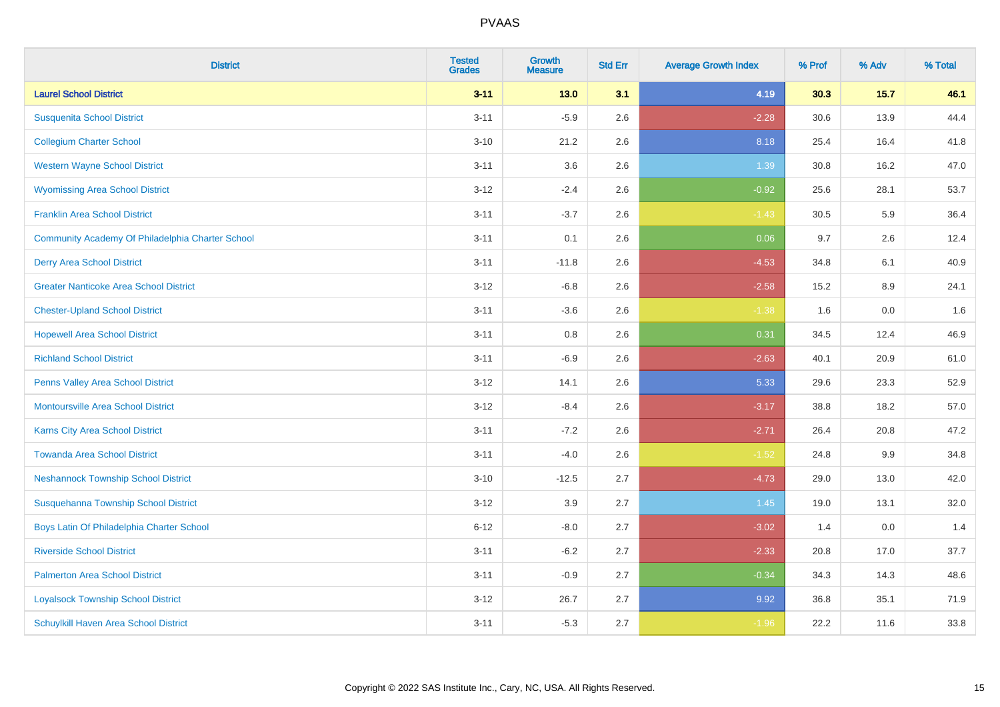| <b>District</b>                                  | <b>Tested</b><br><b>Grades</b> | <b>Growth</b><br><b>Measure</b> | <b>Std Err</b> | <b>Average Growth Index</b> | % Prof | % Adv  | % Total |
|--------------------------------------------------|--------------------------------|---------------------------------|----------------|-----------------------------|--------|--------|---------|
| <b>Laurel School District</b>                    | $3 - 11$                       | 13.0                            | 3.1            | 4.19                        | 30.3   | $15.7$ | 46.1    |
| <b>Susquenita School District</b>                | $3 - 11$                       | $-5.9$                          | 2.6            | $-2.28$                     | 30.6   | 13.9   | 44.4    |
| <b>Collegium Charter School</b>                  | $3 - 10$                       | 21.2                            | 2.6            | 8.18                        | 25.4   | 16.4   | 41.8    |
| <b>Western Wayne School District</b>             | $3 - 11$                       | 3.6                             | 2.6            | 1.39                        | 30.8   | 16.2   | 47.0    |
| <b>Wyomissing Area School District</b>           | $3 - 12$                       | $-2.4$                          | 2.6            | $-0.92$                     | 25.6   | 28.1   | 53.7    |
| <b>Franklin Area School District</b>             | $3 - 11$                       | $-3.7$                          | 2.6            | $-1.43$                     | 30.5   | 5.9    | 36.4    |
| Community Academy Of Philadelphia Charter School | $3 - 11$                       | 0.1                             | 2.6            | 0.06                        | 9.7    | 2.6    | 12.4    |
| <b>Derry Area School District</b>                | $3 - 11$                       | $-11.8$                         | 2.6            | $-4.53$                     | 34.8   | 6.1    | 40.9    |
| <b>Greater Nanticoke Area School District</b>    | $3 - 12$                       | $-6.8$                          | 2.6            | $-2.58$                     | 15.2   | 8.9    | 24.1    |
| <b>Chester-Upland School District</b>            | $3 - 11$                       | $-3.6$                          | 2.6            | $-1.38$                     | 1.6    | 0.0    | 1.6     |
| <b>Hopewell Area School District</b>             | $3 - 11$                       | 0.8                             | 2.6            | 0.31                        | 34.5   | 12.4   | 46.9    |
| <b>Richland School District</b>                  | $3 - 11$                       | $-6.9$                          | 2.6            | $-2.63$                     | 40.1   | 20.9   | 61.0    |
| Penns Valley Area School District                | $3 - 12$                       | 14.1                            | 2.6            | 5.33                        | 29.6   | 23.3   | 52.9    |
| <b>Montoursville Area School District</b>        | $3 - 12$                       | $-8.4$                          | 2.6            | $-3.17$                     | 38.8   | 18.2   | 57.0    |
| Karns City Area School District                  | $3 - 11$                       | $-7.2$                          | 2.6            | $-2.71$                     | 26.4   | 20.8   | 47.2    |
| <b>Towanda Area School District</b>              | $3 - 11$                       | $-4.0$                          | 2.6            | $-1.52$                     | 24.8   | 9.9    | 34.8    |
| <b>Neshannock Township School District</b>       | $3 - 10$                       | $-12.5$                         | 2.7            | $-4.73$                     | 29.0   | 13.0   | 42.0    |
| Susquehanna Township School District             | $3 - 12$                       | 3.9                             | 2.7            | 1.45                        | 19.0   | 13.1   | 32.0    |
| Boys Latin Of Philadelphia Charter School        | $6 - 12$                       | $-8.0$                          | 2.7            | $-3.02$                     | 1.4    | 0.0    | 1.4     |
| <b>Riverside School District</b>                 | $3 - 11$                       | $-6.2$                          | 2.7            | $-2.33$                     | 20.8   | 17.0   | 37.7    |
| <b>Palmerton Area School District</b>            | $3 - 11$                       | $-0.9$                          | 2.7            | $-0.34$                     | 34.3   | 14.3   | 48.6    |
| <b>Loyalsock Township School District</b>        | $3 - 12$                       | 26.7                            | 2.7            | 9.92                        | 36.8   | 35.1   | 71.9    |
| Schuylkill Haven Area School District            | $3 - 11$                       | $-5.3$                          | 2.7            | $-1.96$                     | 22.2   | 11.6   | 33.8    |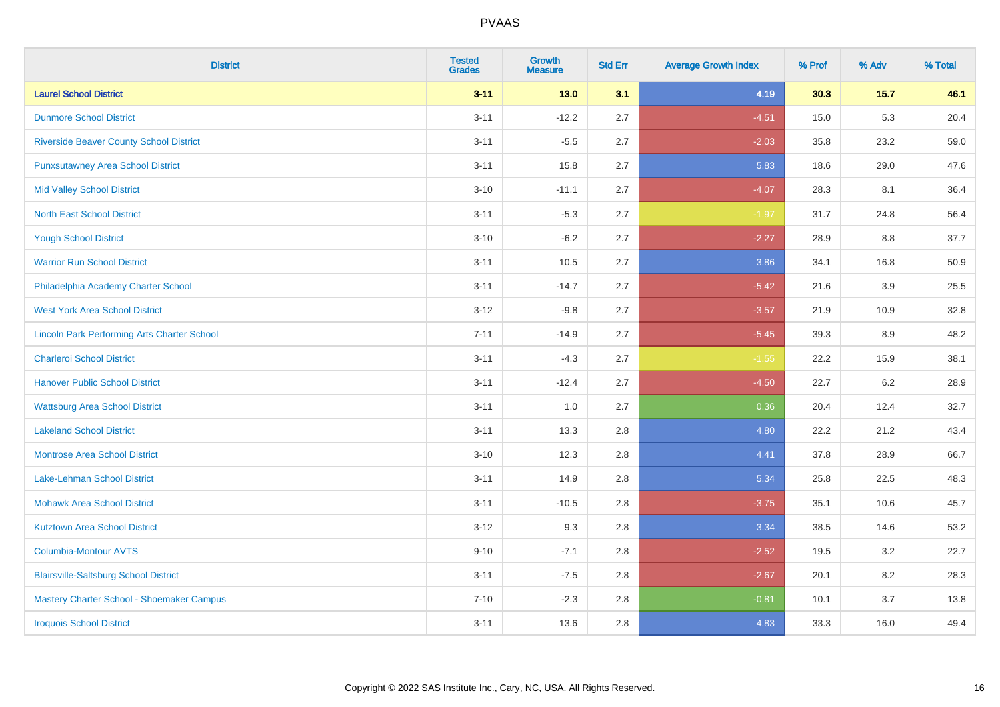| <b>District</b>                                    | <b>Tested</b><br><b>Grades</b> | <b>Growth</b><br><b>Measure</b> | <b>Std Err</b> | <b>Average Growth Index</b> | % Prof | % Adv   | % Total |
|----------------------------------------------------|--------------------------------|---------------------------------|----------------|-----------------------------|--------|---------|---------|
| <b>Laurel School District</b>                      | $3 - 11$                       | 13.0                            | 3.1            | 4.19                        | 30.3   | $15.7$  | 46.1    |
| <b>Dunmore School District</b>                     | $3 - 11$                       | $-12.2$                         | 2.7            | $-4.51$                     | 15.0   | $5.3\,$ | 20.4    |
| <b>Riverside Beaver County School District</b>     | $3 - 11$                       | $-5.5$                          | 2.7            | $-2.03$                     | 35.8   | 23.2    | 59.0    |
| <b>Punxsutawney Area School District</b>           | $3 - 11$                       | 15.8                            | 2.7            | 5.83                        | 18.6   | 29.0    | 47.6    |
| <b>Mid Valley School District</b>                  | $3 - 10$                       | $-11.1$                         | 2.7            | $-4.07$                     | 28.3   | 8.1     | 36.4    |
| <b>North East School District</b>                  | $3 - 11$                       | $-5.3$                          | 2.7            | $-1.97$                     | 31.7   | 24.8    | 56.4    |
| <b>Yough School District</b>                       | $3 - 10$                       | $-6.2$                          | 2.7            | $-2.27$                     | 28.9   | 8.8     | 37.7    |
| <b>Warrior Run School District</b>                 | $3 - 11$                       | 10.5                            | 2.7            | 3.86                        | 34.1   | 16.8    | 50.9    |
| Philadelphia Academy Charter School                | $3 - 11$                       | $-14.7$                         | 2.7            | $-5.42$                     | 21.6   | 3.9     | 25.5    |
| <b>West York Area School District</b>              | $3 - 12$                       | $-9.8$                          | 2.7            | $-3.57$                     | 21.9   | 10.9    | 32.8    |
| <b>Lincoln Park Performing Arts Charter School</b> | $7 - 11$                       | $-14.9$                         | 2.7            | $-5.45$                     | 39.3   | 8.9     | 48.2    |
| <b>Charleroi School District</b>                   | $3 - 11$                       | $-4.3$                          | 2.7            | $-1.55$                     | 22.2   | 15.9    | 38.1    |
| <b>Hanover Public School District</b>              | $3 - 11$                       | $-12.4$                         | 2.7            | $-4.50$                     | 22.7   | 6.2     | 28.9    |
| <b>Wattsburg Area School District</b>              | $3 - 11$                       | 1.0                             | 2.7            | 0.36                        | 20.4   | 12.4    | 32.7    |
| <b>Lakeland School District</b>                    | $3 - 11$                       | 13.3                            | 2.8            | 4.80                        | 22.2   | 21.2    | 43.4    |
| <b>Montrose Area School District</b>               | $3 - 10$                       | 12.3                            | 2.8            | 4.41                        | 37.8   | 28.9    | 66.7    |
| Lake-Lehman School District                        | $3 - 11$                       | 14.9                            | 2.8            | 5.34                        | 25.8   | 22.5    | 48.3    |
| <b>Mohawk Area School District</b>                 | $3 - 11$                       | $-10.5$                         | 2.8            | $-3.75$                     | 35.1   | 10.6    | 45.7    |
| <b>Kutztown Area School District</b>               | $3 - 12$                       | 9.3                             | 2.8            | 3.34                        | 38.5   | 14.6    | 53.2    |
| Columbia-Montour AVTS                              | $9 - 10$                       | $-7.1$                          | 2.8            | $-2.52$                     | 19.5   | 3.2     | 22.7    |
| <b>Blairsville-Saltsburg School District</b>       | $3 - 11$                       | $-7.5$                          | 2.8            | $-2.67$                     | 20.1   | 8.2     | 28.3    |
| Mastery Charter School - Shoemaker Campus          | $7 - 10$                       | $-2.3$                          | 2.8            | $-0.81$                     | 10.1   | 3.7     | 13.8    |
| <b>Iroquois School District</b>                    | $3 - 11$                       | 13.6                            | 2.8            | 4.83                        | 33.3   | 16.0    | 49.4    |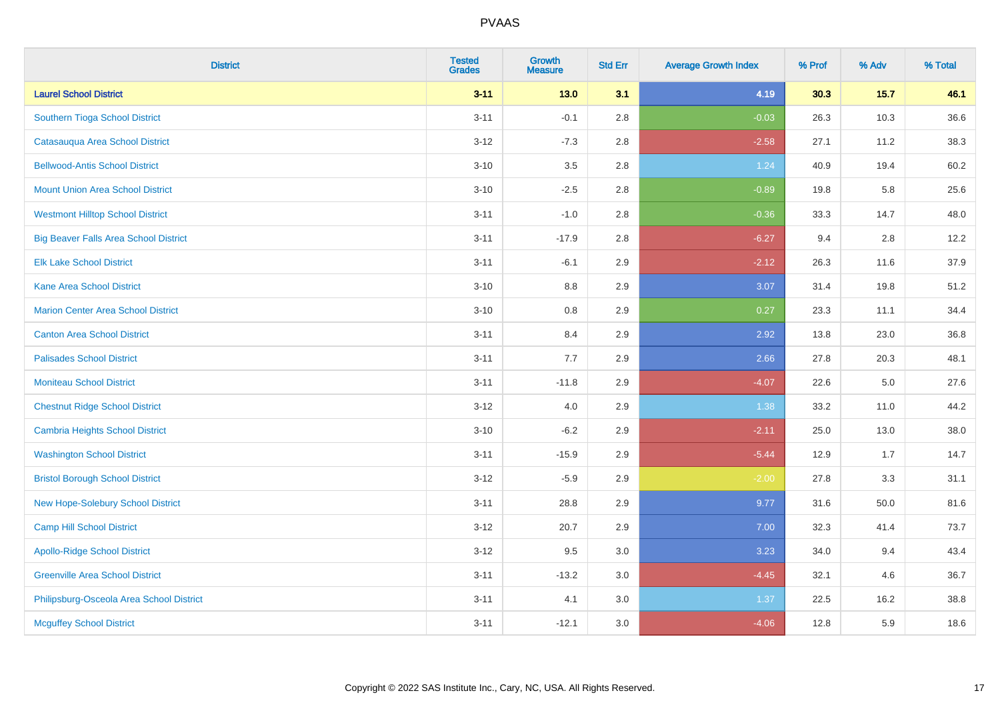| <b>District</b>                              | <b>Tested</b><br><b>Grades</b> | <b>Growth</b><br><b>Measure</b> | <b>Std Err</b> | <b>Average Growth Index</b> | % Prof | % Adv  | % Total |
|----------------------------------------------|--------------------------------|---------------------------------|----------------|-----------------------------|--------|--------|---------|
| <b>Laurel School District</b>                | $3 - 11$                       | $13.0$                          | 3.1            | 4.19                        | 30.3   | $15.7$ | 46.1    |
| Southern Tioga School District               | $3 - 11$                       | $-0.1$                          | 2.8            | $-0.03$                     | 26.3   | 10.3   | 36.6    |
| Catasauqua Area School District              | $3 - 12$                       | $-7.3$                          | 2.8            | $-2.58$                     | 27.1   | 11.2   | 38.3    |
| <b>Bellwood-Antis School District</b>        | $3 - 10$                       | 3.5                             | 2.8            | 1.24                        | 40.9   | 19.4   | 60.2    |
| <b>Mount Union Area School District</b>      | $3 - 10$                       | $-2.5$                          | 2.8            | $-0.89$                     | 19.8   | 5.8    | 25.6    |
| <b>Westmont Hilltop School District</b>      | $3 - 11$                       | $-1.0$                          | 2.8            | $-0.36$                     | 33.3   | 14.7   | 48.0    |
| <b>Big Beaver Falls Area School District</b> | $3 - 11$                       | $-17.9$                         | 2.8            | $-6.27$                     | 9.4    | 2.8    | 12.2    |
| <b>Elk Lake School District</b>              | $3 - 11$                       | $-6.1$                          | 2.9            | $-2.12$                     | 26.3   | 11.6   | 37.9    |
| <b>Kane Area School District</b>             | $3 - 10$                       | 8.8                             | 2.9            | 3.07                        | 31.4   | 19.8   | 51.2    |
| <b>Marion Center Area School District</b>    | $3 - 10$                       | 0.8                             | 2.9            | 0.27                        | 23.3   | 11.1   | 34.4    |
| <b>Canton Area School District</b>           | $3 - 11$                       | 8.4                             | 2.9            | 2.92                        | 13.8   | 23.0   | 36.8    |
| <b>Palisades School District</b>             | $3 - 11$                       | 7.7                             | 2.9            | 2.66                        | 27.8   | 20.3   | 48.1    |
| <b>Moniteau School District</b>              | $3 - 11$                       | $-11.8$                         | 2.9            | $-4.07$                     | 22.6   | 5.0    | 27.6    |
| <b>Chestnut Ridge School District</b>        | $3 - 12$                       | 4.0                             | 2.9            | 1.38                        | 33.2   | 11.0   | 44.2    |
| Cambria Heights School District              | $3 - 10$                       | $-6.2$                          | 2.9            | $-2.11$                     | 25.0   | 13.0   | 38.0    |
| <b>Washington School District</b>            | $3 - 11$                       | $-15.9$                         | 2.9            | $-5.44$                     | 12.9   | 1.7    | 14.7    |
| <b>Bristol Borough School District</b>       | $3 - 12$                       | $-5.9$                          | 2.9            | $-2.00$                     | 27.8   | 3.3    | 31.1    |
| New Hope-Solebury School District            | $3 - 11$                       | 28.8                            | 2.9            | 9.77                        | 31.6   | 50.0   | 81.6    |
| <b>Camp Hill School District</b>             | $3 - 12$                       | 20.7                            | 2.9            | 7.00                        | 32.3   | 41.4   | 73.7    |
| <b>Apollo-Ridge School District</b>          | $3-12$                         | 9.5                             | 3.0            | 3.23                        | 34.0   | 9.4    | 43.4    |
| <b>Greenville Area School District</b>       | $3 - 11$                       | $-13.2$                         | 3.0            | $-4.45$                     | 32.1   | 4.6    | 36.7    |
| Philipsburg-Osceola Area School District     | $3 - 11$                       | 4.1                             | 3.0            | 1.37                        | 22.5   | 16.2   | 38.8    |
| <b>Mcguffey School District</b>              | $3 - 11$                       | $-12.1$                         | 3.0            | $-4.06$                     | 12.8   | 5.9    | 18.6    |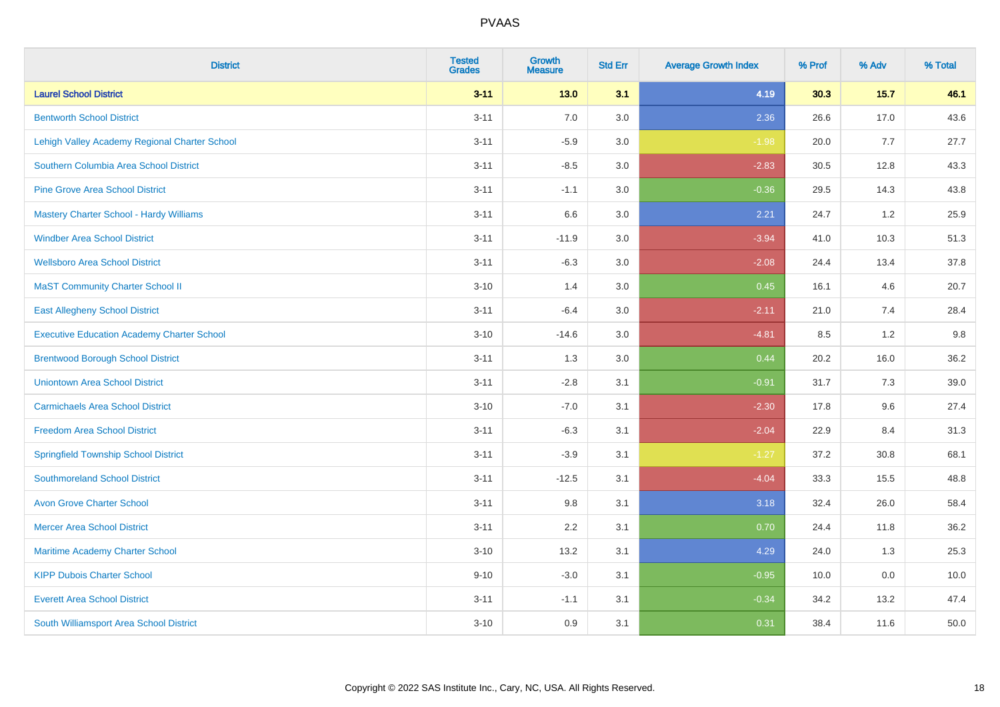| <b>District</b>                                   | <b>Tested</b><br><b>Grades</b> | <b>Growth</b><br><b>Measure</b> | <b>Std Err</b> | <b>Average Growth Index</b> | % Prof | % Adv  | % Total |
|---------------------------------------------------|--------------------------------|---------------------------------|----------------|-----------------------------|--------|--------|---------|
| <b>Laurel School District</b>                     | $3 - 11$                       | $13.0$                          | 3.1            | 4.19                        | 30.3   | $15.7$ | 46.1    |
| <b>Bentworth School District</b>                  | $3 - 11$                       | 7.0                             | 3.0            | 2.36                        | 26.6   | 17.0   | 43.6    |
| Lehigh Valley Academy Regional Charter School     | $3 - 11$                       | $-5.9$                          | 3.0            | $-1.98$                     | 20.0   | 7.7    | 27.7    |
| Southern Columbia Area School District            | $3 - 11$                       | $-8.5$                          | 3.0            | $-2.83$                     | 30.5   | 12.8   | 43.3    |
| <b>Pine Grove Area School District</b>            | $3 - 11$                       | $-1.1$                          | 3.0            | $-0.36$                     | 29.5   | 14.3   | 43.8    |
| <b>Mastery Charter School - Hardy Williams</b>    | $3 - 11$                       | 6.6                             | 3.0            | 2.21                        | 24.7   | 1.2    | 25.9    |
| <b>Windber Area School District</b>               | $3 - 11$                       | $-11.9$                         | 3.0            | $-3.94$                     | 41.0   | 10.3   | 51.3    |
| <b>Wellsboro Area School District</b>             | $3 - 11$                       | $-6.3$                          | 3.0            | $-2.08$                     | 24.4   | 13.4   | 37.8    |
| <b>MaST Community Charter School II</b>           | $3 - 10$                       | 1.4                             | 3.0            | 0.45                        | 16.1   | 4.6    | 20.7    |
| <b>East Allegheny School District</b>             | $3 - 11$                       | $-6.4$                          | 3.0            | $-2.11$                     | 21.0   | 7.4    | 28.4    |
| <b>Executive Education Academy Charter School</b> | $3 - 10$                       | $-14.6$                         | 3.0            | $-4.81$                     | 8.5    | 1.2    | 9.8     |
| <b>Brentwood Borough School District</b>          | $3 - 11$                       | 1.3                             | 3.0            | 0.44                        | 20.2   | 16.0   | 36.2    |
| <b>Uniontown Area School District</b>             | $3 - 11$                       | $-2.8$                          | 3.1            | $-0.91$                     | 31.7   | $7.3$  | 39.0    |
| <b>Carmichaels Area School District</b>           | $3 - 10$                       | $-7.0$                          | 3.1            | $-2.30$                     | 17.8   | 9.6    | 27.4    |
| <b>Freedom Area School District</b>               | $3 - 11$                       | $-6.3$                          | 3.1            | $-2.04$                     | 22.9   | 8.4    | 31.3    |
| <b>Springfield Township School District</b>       | $3 - 11$                       | $-3.9$                          | 3.1            | $-1.27$                     | 37.2   | 30.8   | 68.1    |
| <b>Southmoreland School District</b>              | $3 - 11$                       | $-12.5$                         | 3.1            | $-4.04$                     | 33.3   | 15.5   | 48.8    |
| <b>Avon Grove Charter School</b>                  | $3 - 11$                       | 9.8                             | 3.1            | 3.18                        | 32.4   | 26.0   | 58.4    |
| <b>Mercer Area School District</b>                | $3 - 11$                       | 2.2                             | 3.1            | 0.70                        | 24.4   | 11.8   | 36.2    |
| <b>Maritime Academy Charter School</b>            | $3 - 10$                       | 13.2                            | 3.1            | 4.29                        | 24.0   | 1.3    | 25.3    |
| <b>KIPP Dubois Charter School</b>                 | $9 - 10$                       | $-3.0$                          | 3.1            | $-0.95$                     | 10.0   | 0.0    | 10.0    |
| <b>Everett Area School District</b>               | $3 - 11$                       | $-1.1$                          | 3.1            | $-0.34$                     | 34.2   | 13.2   | 47.4    |
| South Williamsport Area School District           | $3 - 10$                       | 0.9                             | 3.1            | 0.31                        | 38.4   | 11.6   | 50.0    |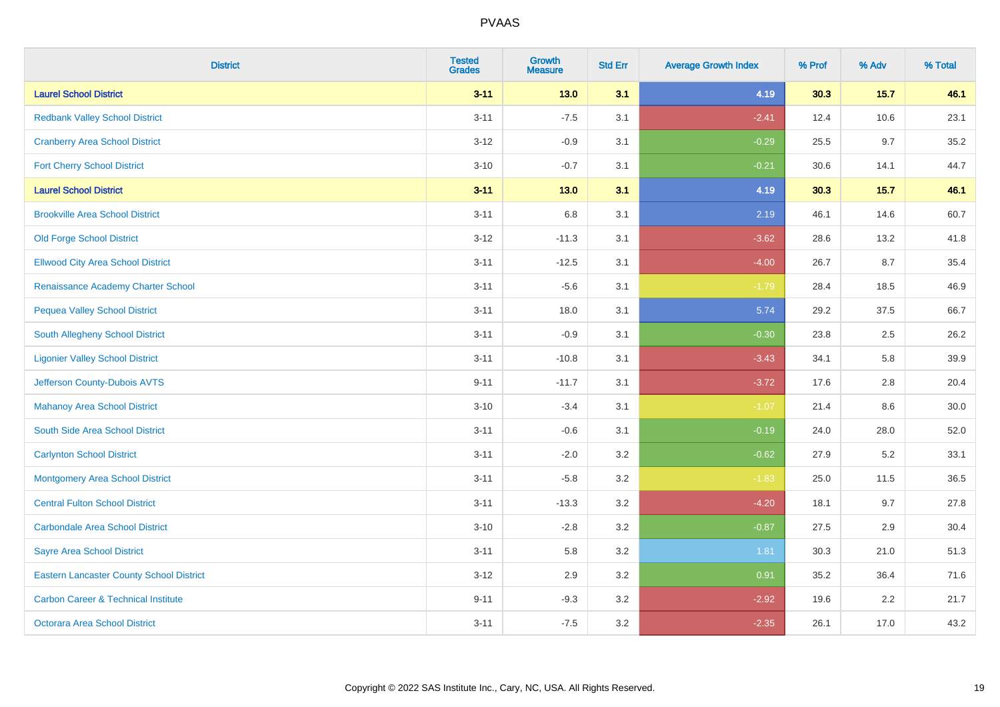| <b>District</b>                                 | <b>Tested</b><br><b>Grades</b> | <b>Growth</b><br><b>Measure</b> | <b>Std Err</b> | <b>Average Growth Index</b> | % Prof | % Adv  | % Total |
|-------------------------------------------------|--------------------------------|---------------------------------|----------------|-----------------------------|--------|--------|---------|
| <b>Laurel School District</b>                   | $3 - 11$                       | $13.0$                          | 3.1            | 4.19                        | 30.3   | $15.7$ | 46.1    |
| <b>Redbank Valley School District</b>           | $3 - 11$                       | $-7.5$                          | 3.1            | $-2.41$                     | 12.4   | 10.6   | 23.1    |
| <b>Cranberry Area School District</b>           | $3 - 12$                       | $-0.9$                          | 3.1            | $-0.29$                     | 25.5   | 9.7    | 35.2    |
| <b>Fort Cherry School District</b>              | $3 - 10$                       | $-0.7$                          | 3.1            | $-0.21$                     | 30.6   | 14.1   | 44.7    |
| <b>Laurel School District</b>                   | $3 - 11$                       | 13.0                            | 3.1            | 4.19                        | 30.3   | 15.7   | 46.1    |
| <b>Brookville Area School District</b>          | $3 - 11$                       | 6.8                             | 3.1            | 2.19                        | 46.1   | 14.6   | 60.7    |
| <b>Old Forge School District</b>                | $3 - 12$                       | $-11.3$                         | 3.1            | $-3.62$                     | 28.6   | 13.2   | 41.8    |
| <b>Ellwood City Area School District</b>        | $3 - 11$                       | $-12.5$                         | 3.1            | $-4.00$                     | 26.7   | 8.7    | 35.4    |
| Renaissance Academy Charter School              | $3 - 11$                       | $-5.6$                          | 3.1            | $-1.79$                     | 28.4   | 18.5   | 46.9    |
| <b>Pequea Valley School District</b>            | $3 - 11$                       | 18.0                            | 3.1            | 5.74                        | 29.2   | 37.5   | 66.7    |
| South Allegheny School District                 | $3 - 11$                       | $-0.9$                          | 3.1            | $-0.30$                     | 23.8   | 2.5    | 26.2    |
| <b>Ligonier Valley School District</b>          | $3 - 11$                       | $-10.8$                         | 3.1            | $-3.43$                     | 34.1   | 5.8    | 39.9    |
| Jefferson County-Dubois AVTS                    | $9 - 11$                       | $-11.7$                         | 3.1            | $-3.72$                     | 17.6   | 2.8    | 20.4    |
| <b>Mahanoy Area School District</b>             | $3 - 10$                       | $-3.4$                          | 3.1            | $-1.07$                     | 21.4   | 8.6    | 30.0    |
| South Side Area School District                 | $3 - 11$                       | $-0.6$                          | 3.1            | $-0.19$                     | 24.0   | 28.0   | 52.0    |
| <b>Carlynton School District</b>                | $3 - 11$                       | $-2.0$                          | 3.2            | $-0.62$                     | 27.9   | 5.2    | 33.1    |
| <b>Montgomery Area School District</b>          | $3 - 11$                       | $-5.8$                          | 3.2            | $-1.83$                     | 25.0   | 11.5   | 36.5    |
| <b>Central Fulton School District</b>           | $3 - 11$                       | $-13.3$                         | 3.2            | $-4.20$                     | 18.1   | 9.7    | 27.8    |
| <b>Carbondale Area School District</b>          | $3 - 10$                       | $-2.8$                          | 3.2            | $-0.87$                     | 27.5   | 2.9    | 30.4    |
| <b>Sayre Area School District</b>               | $3 - 11$                       | 5.8                             | 3.2            | 1.81                        | 30.3   | 21.0   | 51.3    |
| <b>Eastern Lancaster County School District</b> | $3 - 12$                       | 2.9                             | 3.2            | 0.91                        | 35.2   | 36.4   | 71.6    |
| <b>Carbon Career &amp; Technical Institute</b>  | $9 - 11$                       | $-9.3$                          | 3.2            | $-2.92$                     | 19.6   | 2.2    | 21.7    |
| <b>Octorara Area School District</b>            | $3 - 11$                       | $-7.5$                          | 3.2            | $-2.35$                     | 26.1   | 17.0   | 43.2    |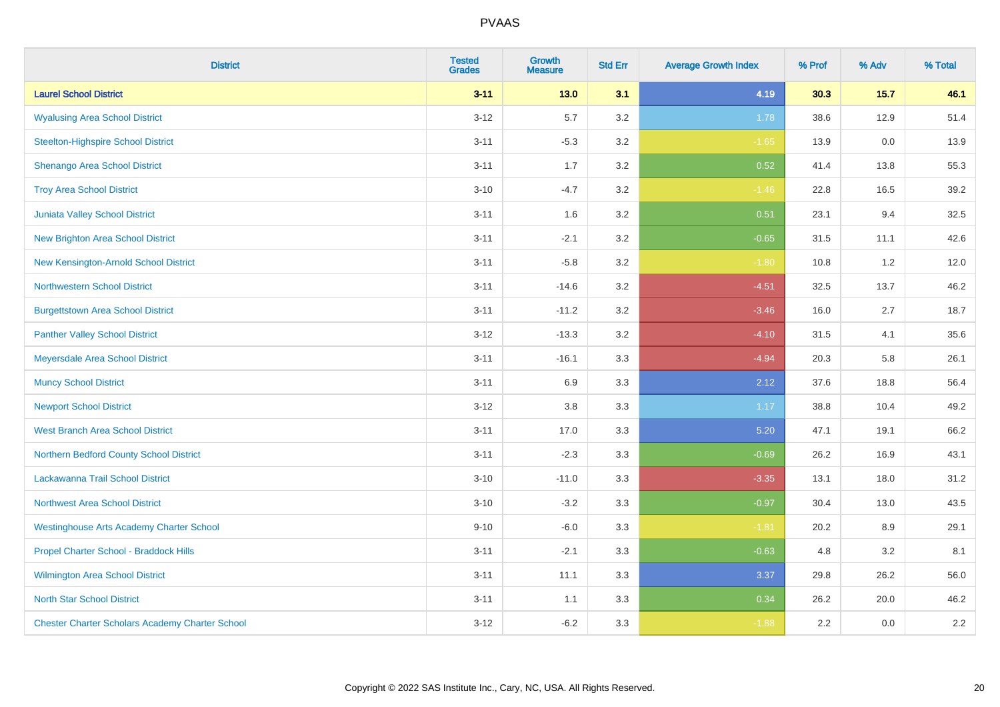| <b>District</b>                                        | <b>Tested</b><br><b>Grades</b> | <b>Growth</b><br><b>Measure</b> | <b>Std Err</b> | <b>Average Growth Index</b> | % Prof | % Adv  | % Total |
|--------------------------------------------------------|--------------------------------|---------------------------------|----------------|-----------------------------|--------|--------|---------|
| <b>Laurel School District</b>                          | $3 - 11$                       | $13.0$                          | 3.1            | 4.19                        | 30.3   | $15.7$ | 46.1    |
| <b>Wyalusing Area School District</b>                  | $3 - 12$                       | 5.7                             | 3.2            | 1.78                        | 38.6   | 12.9   | 51.4    |
| <b>Steelton-Highspire School District</b>              | $3 - 11$                       | $-5.3$                          | 3.2            | $-1.65$                     | 13.9   | 0.0    | 13.9    |
| Shenango Area School District                          | $3 - 11$                       | 1.7                             | 3.2            | 0.52                        | 41.4   | 13.8   | 55.3    |
| <b>Troy Area School District</b>                       | $3 - 10$                       | $-4.7$                          | 3.2            | $-1.46$                     | 22.8   | 16.5   | 39.2    |
| Juniata Valley School District                         | $3 - 11$                       | 1.6                             | 3.2            | 0.51                        | 23.1   | 9.4    | 32.5    |
| <b>New Brighton Area School District</b>               | $3 - 11$                       | $-2.1$                          | 3.2            | $-0.65$                     | 31.5   | 11.1   | 42.6    |
| New Kensington-Arnold School District                  | $3 - 11$                       | $-5.8$                          | 3.2            | $-1.80$                     | 10.8   | 1.2    | 12.0    |
| <b>Northwestern School District</b>                    | $3 - 11$                       | $-14.6$                         | 3.2            | $-4.51$                     | 32.5   | 13.7   | 46.2    |
| <b>Burgettstown Area School District</b>               | $3 - 11$                       | $-11.2$                         | 3.2            | $-3.46$                     | 16.0   | 2.7    | 18.7    |
| <b>Panther Valley School District</b>                  | $3 - 12$                       | $-13.3$                         | 3.2            | $-4.10$                     | 31.5   | 4.1    | 35.6    |
| Meyersdale Area School District                        | $3 - 11$                       | $-16.1$                         | 3.3            | $-4.94$                     | 20.3   | 5.8    | 26.1    |
| <b>Muncy School District</b>                           | $3 - 11$                       | 6.9                             | 3.3            | 2.12                        | 37.6   | 18.8   | 56.4    |
| <b>Newport School District</b>                         | $3 - 12$                       | 3.8                             | 3.3            | 1.17                        | 38.8   | 10.4   | 49.2    |
| <b>West Branch Area School District</b>                | $3 - 11$                       | 17.0                            | 3.3            | 5.20                        | 47.1   | 19.1   | 66.2    |
| Northern Bedford County School District                | $3 - 11$                       | $-2.3$                          | 3.3            | $-0.69$                     | 26.2   | 16.9   | 43.1    |
| Lackawanna Trail School District                       | $3 - 10$                       | $-11.0$                         | 3.3            | $-3.35$                     | 13.1   | 18.0   | 31.2    |
| Northwest Area School District                         | $3 - 10$                       | $-3.2$                          | 3.3            | $-0.97$                     | 30.4   | 13.0   | 43.5    |
| <b>Westinghouse Arts Academy Charter School</b>        | $9 - 10$                       | $-6.0$                          | 3.3            | $-1.81$                     | 20.2   | 8.9    | 29.1    |
| Propel Charter School - Braddock Hills                 | $3 - 11$                       | $-2.1$                          | 3.3            | $-0.63$                     | 4.8    | 3.2    | 8.1     |
| Wilmington Area School District                        | $3 - 11$                       | 11.1                            | 3.3            | 3.37                        | 29.8   | 26.2   | 56.0    |
| <b>North Star School District</b>                      | $3 - 11$                       | 1.1                             | 3.3            | 0.34                        | 26.2   | 20.0   | 46.2    |
| <b>Chester Charter Scholars Academy Charter School</b> | $3 - 12$                       | $-6.2$                          | 3.3            | $-1.88$                     | 2.2    | 0.0    | 2.2     |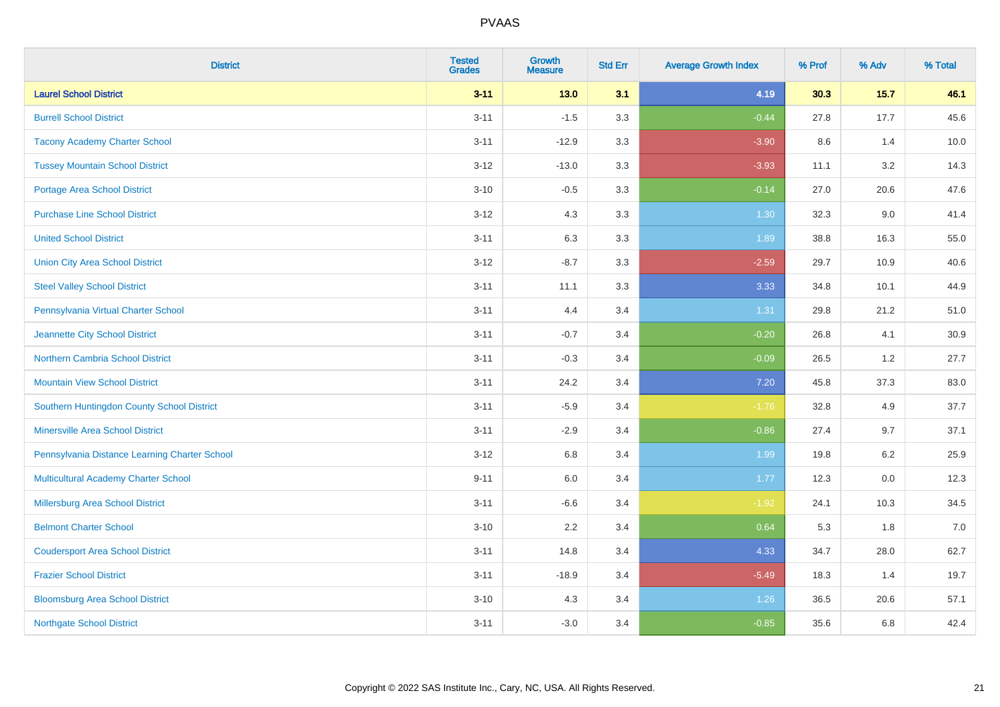| <b>District</b>                               | <b>Tested</b><br><b>Grades</b> | <b>Growth</b><br><b>Measure</b> | <b>Std Err</b> | <b>Average Growth Index</b> | % Prof | % Adv  | % Total |
|-----------------------------------------------|--------------------------------|---------------------------------|----------------|-----------------------------|--------|--------|---------|
| <b>Laurel School District</b>                 | $3 - 11$                       | $13.0$                          | 3.1            | 4.19                        | 30.3   | $15.7$ | 46.1    |
| <b>Burrell School District</b>                | $3 - 11$                       | $-1.5$                          | 3.3            | $-0.44$                     | 27.8   | 17.7   | 45.6    |
| <b>Tacony Academy Charter School</b>          | $3 - 11$                       | $-12.9$                         | 3.3            | $-3.90$                     | 8.6    | 1.4    | 10.0    |
| <b>Tussey Mountain School District</b>        | $3 - 12$                       | $-13.0$                         | 3.3            | $-3.93$                     | 11.1   | 3.2    | 14.3    |
| <b>Portage Area School District</b>           | $3 - 10$                       | $-0.5$                          | 3.3            | $-0.14$                     | 27.0   | 20.6   | 47.6    |
| <b>Purchase Line School District</b>          | $3 - 12$                       | 4.3                             | 3.3            | 1.30                        | 32.3   | 9.0    | 41.4    |
| <b>United School District</b>                 | $3 - 11$                       | 6.3                             | 3.3            | 1.89                        | 38.8   | 16.3   | 55.0    |
| <b>Union City Area School District</b>        | $3 - 12$                       | $-8.7$                          | 3.3            | $-2.59$                     | 29.7   | 10.9   | 40.6    |
| <b>Steel Valley School District</b>           | $3 - 11$                       | 11.1                            | 3.3            | 3.33                        | 34.8   | 10.1   | 44.9    |
| Pennsylvania Virtual Charter School           | $3 - 11$                       | 4.4                             | 3.4            | 1.31                        | 29.8   | 21.2   | 51.0    |
| Jeannette City School District                | $3 - 11$                       | $-0.7$                          | 3.4            | $-0.20$                     | 26.8   | 4.1    | 30.9    |
| <b>Northern Cambria School District</b>       | $3 - 11$                       | $-0.3$                          | 3.4            | $-0.09$                     | 26.5   | 1.2    | 27.7    |
| <b>Mountain View School District</b>          | $3 - 11$                       | 24.2                            | 3.4            | $7.20$                      | 45.8   | 37.3   | 83.0    |
| Southern Huntingdon County School District    | $3 - 11$                       | $-5.9$                          | 3.4            | $-1.76$                     | 32.8   | 4.9    | 37.7    |
| <b>Minersville Area School District</b>       | $3 - 11$                       | $-2.9$                          | 3.4            | $-0.86$                     | 27.4   | 9.7    | 37.1    |
| Pennsylvania Distance Learning Charter School | $3 - 12$                       | 6.8                             | 3.4            | 1.99                        | 19.8   | 6.2    | 25.9    |
| <b>Multicultural Academy Charter School</b>   | $9 - 11$                       | 6.0                             | 3.4            | 1.77                        | 12.3   | 0.0    | 12.3    |
| Millersburg Area School District              | $3 - 11$                       | $-6.6$                          | 3.4            | $-1.92$                     | 24.1   | 10.3   | 34.5    |
| <b>Belmont Charter School</b>                 | $3 - 10$                       | 2.2                             | 3.4            | 0.64                        | 5.3    | 1.8    | $7.0$   |
| <b>Coudersport Area School District</b>       | $3 - 11$                       | 14.8                            | 3.4            | 4.33                        | 34.7   | 28.0   | 62.7    |
| <b>Frazier School District</b>                | $3 - 11$                       | $-18.9$                         | 3.4            | $-5.49$                     | 18.3   | 1.4    | 19.7    |
| <b>Bloomsburg Area School District</b>        | $3 - 10$                       | 4.3                             | 3.4            | 1.26                        | 36.5   | 20.6   | 57.1    |
| <b>Northgate School District</b>              | $3 - 11$                       | $-3.0$                          | 3.4            | $-0.85$                     | 35.6   | 6.8    | 42.4    |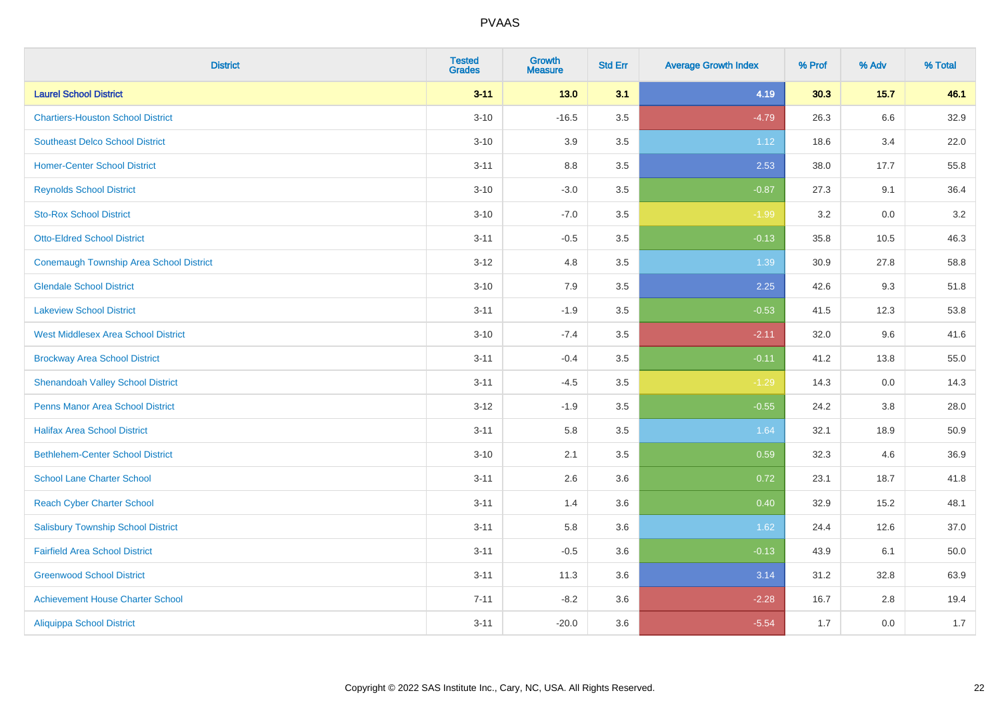| <b>District</b>                                | <b>Tested</b><br><b>Grades</b> | <b>Growth</b><br><b>Measure</b> | <b>Std Err</b> | <b>Average Growth Index</b> | % Prof | % Adv | % Total |
|------------------------------------------------|--------------------------------|---------------------------------|----------------|-----------------------------|--------|-------|---------|
| <b>Laurel School District</b>                  | $3 - 11$                       | 13.0                            | 3.1            | 4.19                        | 30.3   | 15.7  | 46.1    |
| <b>Chartiers-Houston School District</b>       | $3 - 10$                       | $-16.5$                         | 3.5            | $-4.79$                     | 26.3   | 6.6   | 32.9    |
| <b>Southeast Delco School District</b>         | $3 - 10$                       | 3.9                             | 3.5            | 1.12                        | 18.6   | 3.4   | 22.0    |
| <b>Homer-Center School District</b>            | $3 - 11$                       | 8.8                             | 3.5            | 2.53                        | 38.0   | 17.7  | 55.8    |
| <b>Reynolds School District</b>                | $3 - 10$                       | $-3.0$                          | 3.5            | $-0.87$                     | 27.3   | 9.1   | 36.4    |
| <b>Sto-Rox School District</b>                 | $3 - 10$                       | $-7.0$                          | 3.5            | $-1.99$                     | 3.2    | 0.0   | $3.2\,$ |
| <b>Otto-Eldred School District</b>             | $3 - 11$                       | $-0.5$                          | 3.5            | $-0.13$                     | 35.8   | 10.5  | 46.3    |
| <b>Conemaugh Township Area School District</b> | $3 - 12$                       | 4.8                             | 3.5            | 1.39                        | 30.9   | 27.8  | 58.8    |
| <b>Glendale School District</b>                | $3 - 10$                       | 7.9                             | 3.5            | 2.25                        | 42.6   | 9.3   | 51.8    |
| <b>Lakeview School District</b>                | $3 - 11$                       | $-1.9$                          | 3.5            | $-0.53$                     | 41.5   | 12.3  | 53.8    |
| <b>West Middlesex Area School District</b>     | $3 - 10$                       | $-7.4$                          | 3.5            | $-2.11$                     | 32.0   | 9.6   | 41.6    |
| <b>Brockway Area School District</b>           | $3 - 11$                       | $-0.4$                          | 3.5            | $-0.11$                     | 41.2   | 13.8  | 55.0    |
| <b>Shenandoah Valley School District</b>       | $3 - 11$                       | $-4.5$                          | 3.5            | $-1.29$                     | 14.3   | 0.0   | 14.3    |
| <b>Penns Manor Area School District</b>        | $3 - 12$                       | $-1.9$                          | 3.5            | $-0.55$                     | 24.2   | 3.8   | 28.0    |
| <b>Halifax Area School District</b>            | $3 - 11$                       | 5.8                             | 3.5            | 1.64                        | 32.1   | 18.9  | 50.9    |
| <b>Bethlehem-Center School District</b>        | $3 - 10$                       | 2.1                             | 3.5            | 0.59                        | 32.3   | 4.6   | 36.9    |
| <b>School Lane Charter School</b>              | $3 - 11$                       | 2.6                             | 3.6            | 0.72                        | 23.1   | 18.7  | 41.8    |
| <b>Reach Cyber Charter School</b>              | $3 - 11$                       | 1.4                             | 3.6            | 0.40                        | 32.9   | 15.2  | 48.1    |
| <b>Salisbury Township School District</b>      | $3 - 11$                       | 5.8                             | 3.6            | 1.62                        | 24.4   | 12.6  | 37.0    |
| <b>Fairfield Area School District</b>          | $3 - 11$                       | $-0.5$                          | 3.6            | $-0.13$                     | 43.9   | 6.1   | 50.0    |
| <b>Greenwood School District</b>               | $3 - 11$                       | 11.3                            | 3.6            | 3.14                        | 31.2   | 32.8  | 63.9    |
| <b>Achievement House Charter School</b>        | $7 - 11$                       | $-8.2$                          | 3.6            | $-2.28$                     | 16.7   | 2.8   | 19.4    |
| <b>Aliquippa School District</b>               | $3 - 11$                       | $-20.0$                         | 3.6            | $-5.54$                     | 1.7    | 0.0   | 1.7     |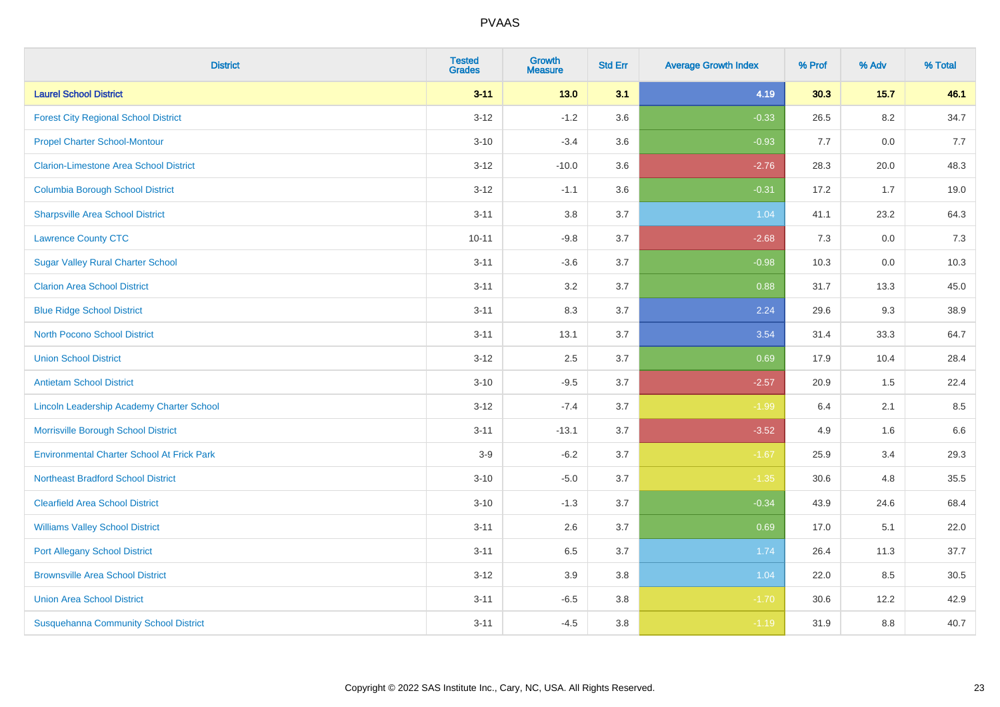| <b>District</b>                                   | <b>Tested</b><br><b>Grades</b> | <b>Growth</b><br><b>Measure</b> | <b>Std Err</b> | <b>Average Growth Index</b> | % Prof | % Adv   | % Total |
|---------------------------------------------------|--------------------------------|---------------------------------|----------------|-----------------------------|--------|---------|---------|
| <b>Laurel School District</b>                     | $3 - 11$                       | $13.0$                          | 3.1            | 4.19                        | 30.3   | 15.7    | 46.1    |
| <b>Forest City Regional School District</b>       | $3 - 12$                       | $-1.2$                          | 3.6            | $-0.33$                     | 26.5   | $8.2\,$ | 34.7    |
| <b>Propel Charter School-Montour</b>              | $3 - 10$                       | $-3.4$                          | 3.6            | $-0.93$                     | 7.7    | 0.0     | 7.7     |
| <b>Clarion-Limestone Area School District</b>     | $3 - 12$                       | $-10.0$                         | 3.6            | $-2.76$                     | 28.3   | 20.0    | 48.3    |
| <b>Columbia Borough School District</b>           | $3 - 12$                       | $-1.1$                          | 3.6            | $-0.31$                     | 17.2   | 1.7     | 19.0    |
| <b>Sharpsville Area School District</b>           | $3 - 11$                       | 3.8                             | 3.7            | 1.04                        | 41.1   | 23.2    | 64.3    |
| <b>Lawrence County CTC</b>                        | $10 - 11$                      | $-9.8$                          | 3.7            | $-2.68$                     | 7.3    | 0.0     | 7.3     |
| <b>Sugar Valley Rural Charter School</b>          | $3 - 11$                       | $-3.6$                          | 3.7            | $-0.98$                     | 10.3   | 0.0     | 10.3    |
| <b>Clarion Area School District</b>               | $3 - 11$                       | 3.2                             | 3.7            | 0.88                        | 31.7   | 13.3    | 45.0    |
| <b>Blue Ridge School District</b>                 | $3 - 11$                       | 8.3                             | 3.7            | 2.24                        | 29.6   | 9.3     | 38.9    |
| <b>North Pocono School District</b>               | $3 - 11$                       | 13.1                            | 3.7            | 3.54                        | 31.4   | 33.3    | 64.7    |
| <b>Union School District</b>                      | $3 - 12$                       | 2.5                             | 3.7            | 0.69                        | 17.9   | 10.4    | 28.4    |
| <b>Antietam School District</b>                   | $3 - 10$                       | $-9.5$                          | 3.7            | $-2.57$                     | 20.9   | $1.5\,$ | 22.4    |
| Lincoln Leadership Academy Charter School         | $3 - 12$                       | $-7.4$                          | 3.7            | $-1.99$                     | 6.4    | 2.1     | 8.5     |
| Morrisville Borough School District               | $3 - 11$                       | $-13.1$                         | 3.7            | $-3.52$                     | 4.9    | 1.6     | 6.6     |
| <b>Environmental Charter School At Frick Park</b> | $3-9$                          | $-6.2$                          | 3.7            | $-1.67$                     | 25.9   | 3.4     | 29.3    |
| <b>Northeast Bradford School District</b>         | $3 - 10$                       | $-5.0$                          | 3.7            | $-1.35$                     | 30.6   | 4.8     | 35.5    |
| <b>Clearfield Area School District</b>            | $3 - 10$                       | $-1.3$                          | 3.7            | $-0.34$                     | 43.9   | 24.6    | 68.4    |
| <b>Williams Valley School District</b>            | $3 - 11$                       | 2.6                             | 3.7            | 0.69                        | 17.0   | 5.1     | 22.0    |
| <b>Port Allegany School District</b>              | $3 - 11$                       | 6.5                             | 3.7            | 1.74                        | 26.4   | 11.3    | 37.7    |
| <b>Brownsville Area School District</b>           | $3 - 12$                       | 3.9                             | 3.8            | 1.04                        | 22.0   | 8.5     | 30.5    |
| <b>Union Area School District</b>                 | $3 - 11$                       | $-6.5$                          | 3.8            | $-1.70$                     | 30.6   | 12.2    | 42.9    |
| <b>Susquehanna Community School District</b>      | $3 - 11$                       | $-4.5$                          | 3.8            | $-1.19$                     | 31.9   | 8.8     | 40.7    |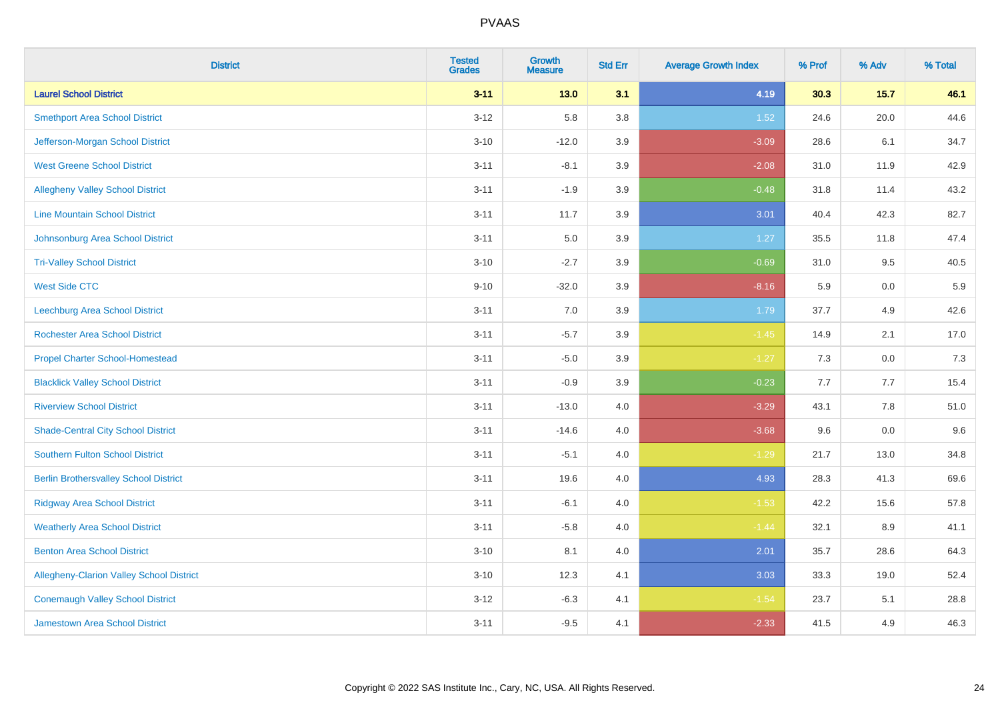| <b>District</b>                              | <b>Tested</b><br><b>Grades</b> | <b>Growth</b><br><b>Measure</b> | <b>Std Err</b> | <b>Average Growth Index</b> | % Prof | % Adv   | % Total |
|----------------------------------------------|--------------------------------|---------------------------------|----------------|-----------------------------|--------|---------|---------|
| <b>Laurel School District</b>                | $3 - 11$                       | $13.0$                          | 3.1            | 4.19                        | 30.3   | $15.7$  | 46.1    |
| <b>Smethport Area School District</b>        | $3 - 12$                       | 5.8                             | 3.8            | 1.52                        | 24.6   | 20.0    | 44.6    |
| Jefferson-Morgan School District             | $3 - 10$                       | $-12.0$                         | 3.9            | $-3.09$                     | 28.6   | 6.1     | 34.7    |
| <b>West Greene School District</b>           | $3 - 11$                       | $-8.1$                          | 3.9            | $-2.08$                     | 31.0   | 11.9    | 42.9    |
| <b>Allegheny Valley School District</b>      | $3 - 11$                       | $-1.9$                          | 3.9            | $-0.48$                     | 31.8   | 11.4    | 43.2    |
| <b>Line Mountain School District</b>         | $3 - 11$                       | 11.7                            | 3.9            | 3.01                        | 40.4   | 42.3    | 82.7    |
| Johnsonburg Area School District             | $3 - 11$                       | 5.0                             | 3.9            | 1.27                        | 35.5   | 11.8    | 47.4    |
| <b>Tri-Valley School District</b>            | $3 - 10$                       | $-2.7$                          | 3.9            | $-0.69$                     | 31.0   | 9.5     | 40.5    |
| <b>West Side CTC</b>                         | $9 - 10$                       | $-32.0$                         | 3.9            | $-8.16$                     | 5.9    | 0.0     | 5.9     |
| <b>Leechburg Area School District</b>        | $3 - 11$                       | 7.0                             | 3.9            | 1.79                        | 37.7   | 4.9     | 42.6    |
| <b>Rochester Area School District</b>        | $3 - 11$                       | $-5.7$                          | 3.9            | $-1.45$                     | 14.9   | 2.1     | 17.0    |
| <b>Propel Charter School-Homestead</b>       | $3 - 11$                       | $-5.0$                          | 3.9            | $-1.27$                     | 7.3    | 0.0     | 7.3     |
| <b>Blacklick Valley School District</b>      | $3 - 11$                       | $-0.9$                          | 3.9            | $-0.23$                     | 7.7    | 7.7     | 15.4    |
| <b>Riverview School District</b>             | $3 - 11$                       | $-13.0$                         | $4.0\,$        | $-3.29$                     | 43.1   | $7.8\,$ | 51.0    |
| <b>Shade-Central City School District</b>    | $3 - 11$                       | $-14.6$                         | 4.0            | $-3.68$                     | 9.6    | 0.0     | 9.6     |
| <b>Southern Fulton School District</b>       | $3 - 11$                       | $-5.1$                          | $4.0\,$        | $-1.29$                     | 21.7   | 13.0    | 34.8    |
| <b>Berlin Brothersvalley School District</b> | $3 - 11$                       | 19.6                            | 4.0            | 4.93                        | 28.3   | 41.3    | 69.6    |
| <b>Ridgway Area School District</b>          | $3 - 11$                       | $-6.1$                          | 4.0            | $-1.53$                     | 42.2   | 15.6    | 57.8    |
| <b>Weatherly Area School District</b>        | $3 - 11$                       | $-5.8$                          | $4.0\,$        | $-1.44$                     | 32.1   | $8.9\,$ | 41.1    |
| <b>Benton Area School District</b>           | $3 - 10$                       | 8.1                             | $4.0\,$        | 2.01                        | 35.7   | 28.6    | 64.3    |
| Allegheny-Clarion Valley School District     | $3 - 10$                       | 12.3                            | 4.1            | 3.03                        | 33.3   | 19.0    | 52.4    |
| <b>Conemaugh Valley School District</b>      | $3 - 12$                       | $-6.3$                          | 4.1            | $-1.54$                     | 23.7   | 5.1     | 28.8    |
| Jamestown Area School District               | $3 - 11$                       | $-9.5$                          | 4.1            | $-2.33$                     | 41.5   | 4.9     | 46.3    |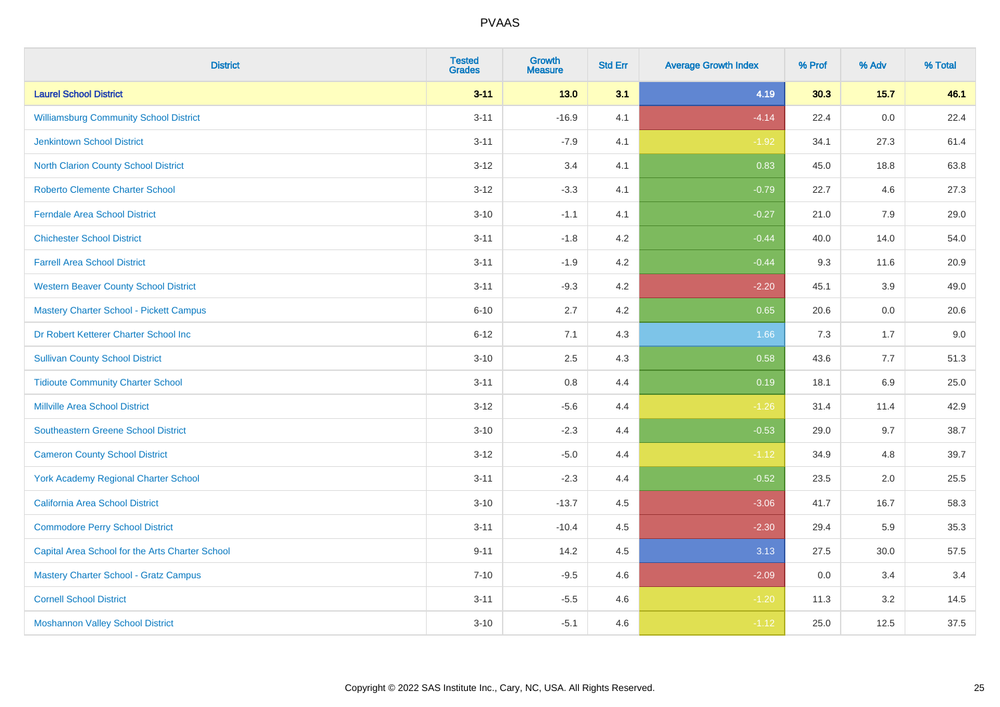| <b>District</b>                                 | <b>Tested</b><br><b>Grades</b> | <b>Growth</b><br><b>Measure</b> | <b>Std Err</b> | <b>Average Growth Index</b> | % Prof | % Adv  | % Total |
|-------------------------------------------------|--------------------------------|---------------------------------|----------------|-----------------------------|--------|--------|---------|
| <b>Laurel School District</b>                   | $3 - 11$                       | 13.0                            | 3.1            | 4.19                        | 30.3   | $15.7$ | 46.1    |
| <b>Williamsburg Community School District</b>   | $3 - 11$                       | $-16.9$                         | 4.1            | $-4.14$                     | 22.4   | 0.0    | 22.4    |
| <b>Jenkintown School District</b>               | $3 - 11$                       | $-7.9$                          | 4.1            | $-1.92$                     | 34.1   | 27.3   | 61.4    |
| North Clarion County School District            | $3 - 12$                       | 3.4                             | 4.1            | 0.83                        | 45.0   | 18.8   | 63.8    |
| <b>Roberto Clemente Charter School</b>          | $3-12$                         | $-3.3$                          | 4.1            | $-0.79$                     | 22.7   | 4.6    | 27.3    |
| <b>Ferndale Area School District</b>            | $3 - 10$                       | $-1.1$                          | 4.1            | $-0.27$                     | 21.0   | 7.9    | 29.0    |
| <b>Chichester School District</b>               | $3 - 11$                       | $-1.8$                          | 4.2            | $-0.44$                     | 40.0   | 14.0   | 54.0    |
| <b>Farrell Area School District</b>             | $3 - 11$                       | $-1.9$                          | 4.2            | $-0.44$                     | 9.3    | 11.6   | 20.9    |
| <b>Western Beaver County School District</b>    | $3 - 11$                       | $-9.3$                          | 4.2            | $-2.20$                     | 45.1   | 3.9    | 49.0    |
| <b>Mastery Charter School - Pickett Campus</b>  | $6 - 10$                       | 2.7                             | 4.2            | 0.65                        | 20.6   | 0.0    | 20.6    |
| Dr Robert Ketterer Charter School Inc           | $6 - 12$                       | 7.1                             | 4.3            | 1.66                        | 7.3    | 1.7    | 9.0     |
| <b>Sullivan County School District</b>          | $3 - 10$                       | 2.5                             | 4.3            | 0.58                        | 43.6   | 7.7    | 51.3    |
| <b>Tidioute Community Charter School</b>        | $3 - 11$                       | 0.8                             | 4.4            | 0.19                        | 18.1   | 6.9    | 25.0    |
| <b>Millville Area School District</b>           | $3 - 12$                       | $-5.6$                          | 4.4            | $-1.26$                     | 31.4   | 11.4   | 42.9    |
| <b>Southeastern Greene School District</b>      | $3 - 10$                       | $-2.3$                          | 4.4            | $-0.53$                     | 29.0   | 9.7    | 38.7    |
| <b>Cameron County School District</b>           | $3 - 12$                       | $-5.0$                          | 4.4            | $-1.12$                     | 34.9   | 4.8    | 39.7    |
| <b>York Academy Regional Charter School</b>     | $3 - 11$                       | $-2.3$                          | 4.4            | $-0.52$                     | 23.5   | 2.0    | 25.5    |
| California Area School District                 | $3 - 10$                       | $-13.7$                         | 4.5            | $-3.06$                     | 41.7   | 16.7   | 58.3    |
| <b>Commodore Perry School District</b>          | $3 - 11$                       | $-10.4$                         | 4.5            | $-2.30$                     | 29.4   | 5.9    | 35.3    |
| Capital Area School for the Arts Charter School | $9 - 11$                       | 14.2                            | 4.5            | 3.13                        | 27.5   | 30.0   | 57.5    |
| <b>Mastery Charter School - Gratz Campus</b>    | $7 - 10$                       | $-9.5$                          | 4.6            | $-2.09$                     | 0.0    | 3.4    | 3.4     |
| <b>Cornell School District</b>                  | $3 - 11$                       | $-5.5$                          | 4.6            | $-1.20$                     | 11.3   | 3.2    | 14.5    |
| <b>Moshannon Valley School District</b>         | $3 - 10$                       | $-5.1$                          | 4.6            | $-1.12$                     | 25.0   | 12.5   | 37.5    |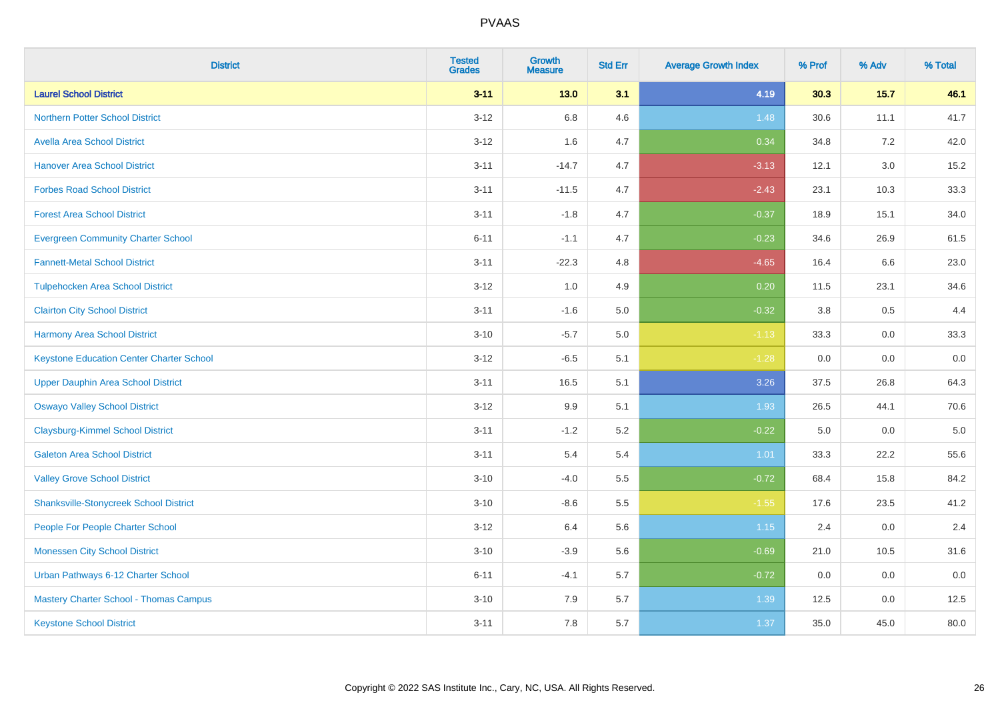| <b>District</b>                                 | <b>Tested</b><br><b>Grades</b> | <b>Growth</b><br><b>Measure</b> | <b>Std Err</b> | <b>Average Growth Index</b> | % Prof  | % Adv   | % Total |
|-------------------------------------------------|--------------------------------|---------------------------------|----------------|-----------------------------|---------|---------|---------|
| <b>Laurel School District</b>                   | $3 - 11$                       | 13.0                            | 3.1            | 4.19                        | 30.3    | $15.7$  | 46.1    |
| Northern Potter School District                 | $3 - 12$                       | 6.8                             | 4.6            | 1.48                        | 30.6    | 11.1    | 41.7    |
| <b>Avella Area School District</b>              | $3 - 12$                       | 1.6                             | 4.7            | 0.34                        | 34.8    | 7.2     | 42.0    |
| <b>Hanover Area School District</b>             | $3 - 11$                       | $-14.7$                         | 4.7            | $-3.13$                     | 12.1    | $3.0\,$ | 15.2    |
| <b>Forbes Road School District</b>              | $3 - 11$                       | $-11.5$                         | 4.7            | $-2.43$                     | 23.1    | 10.3    | 33.3    |
| <b>Forest Area School District</b>              | $3 - 11$                       | $-1.8$                          | 4.7            | $-0.37$                     | 18.9    | 15.1    | 34.0    |
| <b>Evergreen Community Charter School</b>       | $6 - 11$                       | $-1.1$                          | 4.7            | $-0.23$                     | 34.6    | 26.9    | 61.5    |
| <b>Fannett-Metal School District</b>            | $3 - 11$                       | $-22.3$                         | 4.8            | $-4.65$                     | 16.4    | 6.6     | 23.0    |
| <b>Tulpehocken Area School District</b>         | $3 - 12$                       | 1.0                             | 4.9            | 0.20                        | 11.5    | 23.1    | 34.6    |
| <b>Clairton City School District</b>            | $3 - 11$                       | $-1.6$                          | 5.0            | $-0.32$                     | 3.8     | 0.5     | 4.4     |
| <b>Harmony Area School District</b>             | $3 - 10$                       | $-5.7$                          | 5.0            | $-1.13$                     | 33.3    | $0.0\,$ | 33.3    |
| <b>Keystone Education Center Charter School</b> | $3 - 12$                       | $-6.5$                          | 5.1            | $-1.28$                     | 0.0     | 0.0     | 0.0     |
| <b>Upper Dauphin Area School District</b>       | $3 - 11$                       | 16.5                            | 5.1            | 3.26                        | 37.5    | 26.8    | 64.3    |
| <b>Oswayo Valley School District</b>            | $3 - 12$                       | 9.9                             | 5.1            | 1.93                        | 26.5    | 44.1    | 70.6    |
| <b>Claysburg-Kimmel School District</b>         | $3 - 11$                       | $-1.2$                          | 5.2            | $-0.22$                     | $5.0\,$ | 0.0     | 5.0     |
| <b>Galeton Area School District</b>             | $3 - 11$                       | 5.4                             | 5.4            | 1.01                        | 33.3    | 22.2    | 55.6    |
| <b>Valley Grove School District</b>             | $3 - 10$                       | $-4.0$                          | 5.5            | $-0.72$                     | 68.4    | 15.8    | 84.2    |
| <b>Shanksville-Stonycreek School District</b>   | $3 - 10$                       | $-8.6$                          | 5.5            | $-1.55$                     | 17.6    | 23.5    | 41.2    |
| People For People Charter School                | $3-12$                         | 6.4                             | 5.6            | 1.15                        | 2.4     | $0.0\,$ | 2.4     |
| <b>Monessen City School District</b>            | $3 - 10$                       | $-3.9$                          | 5.6            | $-0.69$                     | 21.0    | 10.5    | 31.6    |
| Urban Pathways 6-12 Charter School              | $6 - 11$                       | $-4.1$                          | 5.7            | $-0.72$                     | 0.0     | 0.0     | 0.0     |
| Mastery Charter School - Thomas Campus          | $3 - 10$                       | 7.9                             | 5.7            | 1.39                        | 12.5    | 0.0     | 12.5    |
| <b>Keystone School District</b>                 | $3 - 11$                       | 7.8                             | 5.7            | 1.37                        | 35.0    | 45.0    | 80.0    |